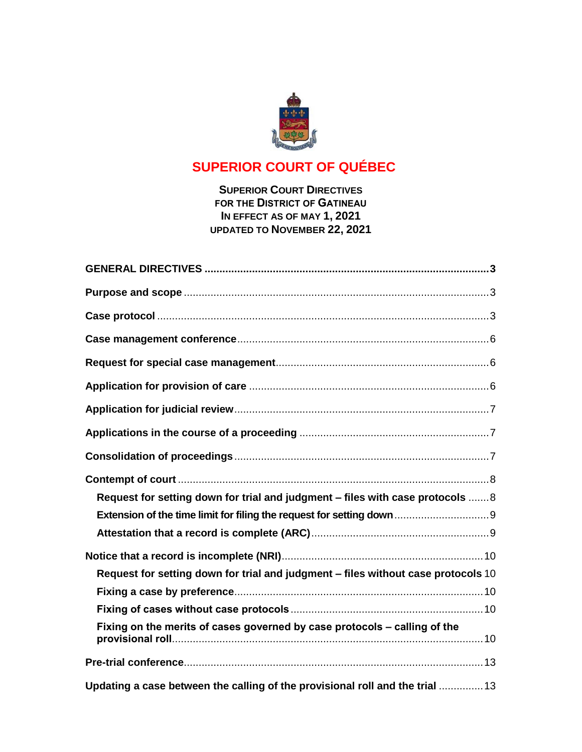

# **SUPERIOR COURT OF QUÉBEC**

# **SUPERIOR COURT DIRECTIVES FOR THE DISTRICT OF GATINEAU IN EFFECT AS OF MAY 1, 2021 UPDATED TO NOVEMBER 22, 2021**

| Request for setting down for trial and judgment - files with case protocols  8    |  |
|-----------------------------------------------------------------------------------|--|
| Extension of the time limit for filing the request for setting down 9             |  |
|                                                                                   |  |
|                                                                                   |  |
| Request for setting down for trial and judgment - files without case protocols 10 |  |
|                                                                                   |  |
|                                                                                   |  |
| Fixing on the merits of cases governed by case protocols - calling of the         |  |
|                                                                                   |  |
| Updating a case between the calling of the provisional roll and the trial 13      |  |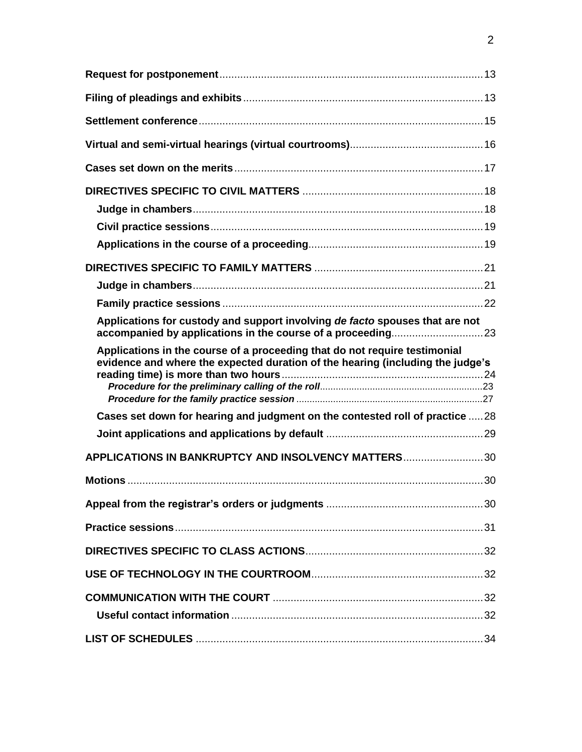| Applications for custody and support involving de facto spouses that are not                                                                                 |  |
|--------------------------------------------------------------------------------------------------------------------------------------------------------------|--|
| Applications in the course of a proceeding that do not require testimonial<br>evidence and where the expected duration of the hearing (including the judge's |  |
| Cases set down for hearing and judgment on the contested roll of practice  28                                                                                |  |
|                                                                                                                                                              |  |
| APPLICATIONS IN BANKRUPTCY AND INSOLVENCY MATTERS30                                                                                                          |  |
|                                                                                                                                                              |  |
|                                                                                                                                                              |  |
|                                                                                                                                                              |  |
|                                                                                                                                                              |  |
|                                                                                                                                                              |  |
|                                                                                                                                                              |  |
|                                                                                                                                                              |  |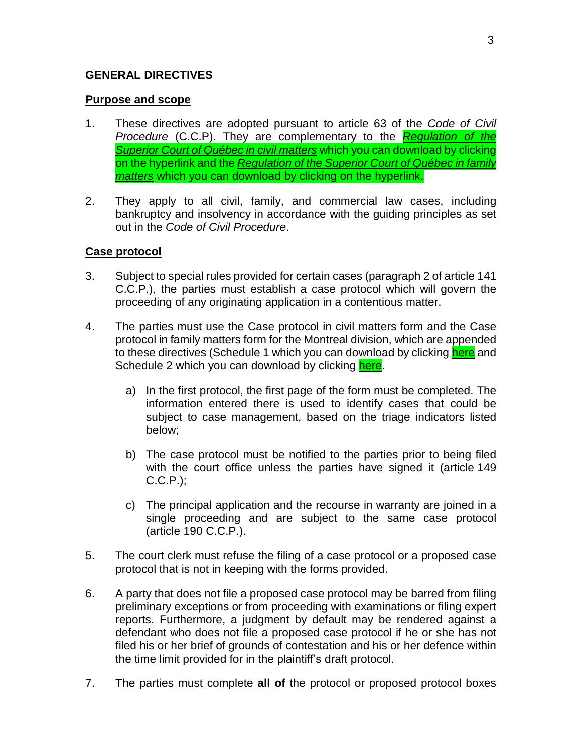# <span id="page-2-0"></span>**GENERAL DIRECTIVES**

### <span id="page-2-1"></span>**Purpose and scope**

- 1. These directives are adopted pursuant to article 63 of the *Code of Civil Procedure* (C.C.P). They are complementary to the *[Regulation](http://legisquebec.gouv.qc.ca/fr/ShowDoc/cr/C-25.01,%20r.%200.2.1%20/) of the [Superior](http://legisquebec.gouv.qc.ca/fr/ShowDoc/cr/C-25.01,%20r.%200.2.1%20/) Court of Québec in civil matters* which you can download by clicking on the hyperlink and the *[Regulation](http://legisquebec.gouv.qc.ca/en/ShowDoc/cr/C-25.01,%20r.%200.2.4) of the Superior Court of Québec in family [matters](http://legisquebec.gouv.qc.ca/en/ShowDoc/cr/C-25.01,%20r.%200.2.4)* which you can download by clicking on the hyperlink.
- 2. They apply to all civil, family, and commercial law cases, including bankruptcy and insolvency in accordance with the guiding principles as set out in the *Code of Civil Procedure*.

# <span id="page-2-2"></span>**Case protocol**

- 3. Subject to special rules provided for certain cases (paragraph 2 of article 141 C.C.P.), the parties must establish a case protocol which will govern the proceeding of any originating application in a contentious matter.
- 4. The parties must use the Case protocol in civil matters form and the Case protocol in family matters form for the Montreal division, which are appended to these directives (Schedule 1 which you can download by clicking [here](https://coursuperieureduquebec.ca/fileadmin/cour-superieure/Districts_judiciaires/Gatineau/Annexes/version_anglaise/DIRECTIVES_-_SCHEDULE_1.docx) and Schedule 2 which you can download by clicking [here.](https://coursuperieureduquebec.ca/fileadmin/cour-superieure/Districts_judiciaires/Gatineau/Annexes/version_anglaise/DIRECTIVES_-_SCHEDULE_2.docx)
	- a) In the first protocol, the first page of the form must be completed. The information entered there is used to identify cases that could be subject to case management, based on the triage indicators listed below;
	- b) The case protocol must be notified to the parties prior to being filed with the court office unless the parties have signed it (article 149 C.C.P.);
	- c) The principal application and the recourse in warranty are joined in a single proceeding and are subject to the same case protocol (article 190 C.C.P.).
- 5. The court clerk must refuse the filing of a case protocol or a proposed case protocol that is not in keeping with the forms provided.
- 6. A party that does not file a proposed case protocol may be barred from filing preliminary exceptions or from proceeding with examinations or filing expert reports. Furthermore, a judgment by default may be rendered against a defendant who does not file a proposed case protocol if he or she has not filed his or her brief of grounds of contestation and his or her defence within the time limit provided for in the plaintiff's draft protocol.
- 7. The parties must complete **all of** the protocol or proposed protocol boxes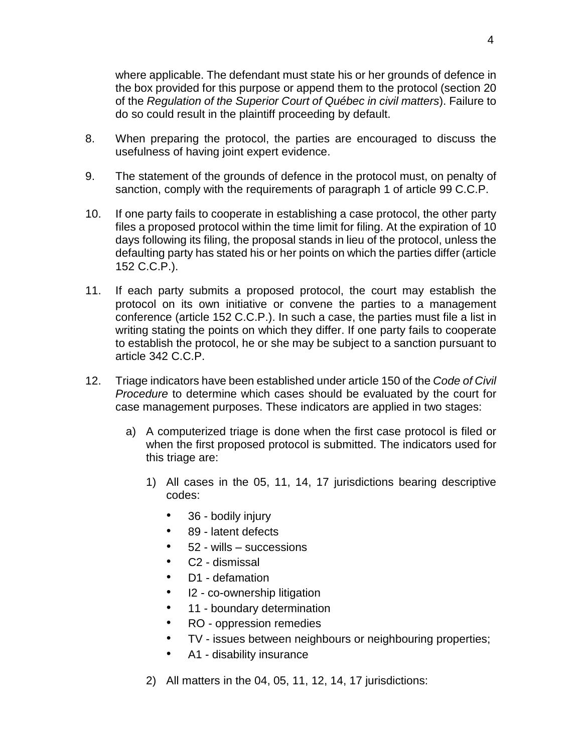where applicable. The defendant must state his or her grounds of defence in the box provided for this purpose or append them to the protocol (section 20 of the *Regulation of the Superior Court of Québec in civil matters*). Failure to do so could result in the plaintiff proceeding by default.

- 8. When preparing the protocol, the parties are encouraged to discuss the usefulness of having joint expert evidence.
- 9. The statement of the grounds of defence in the protocol must, on penalty of sanction, comply with the requirements of paragraph 1 of article 99 C.C.P.
- 10. If one party fails to cooperate in establishing a case protocol, the other party files a proposed protocol within the time limit for filing. At the expiration of 10 days following its filing, the proposal stands in lieu of the protocol, unless the defaulting party has stated his or her points on which the parties differ (article 152 C.C.P.).
- 11. If each party submits a proposed protocol, the court may establish the protocol on its own initiative or convene the parties to a management conference (article 152 C.C.P.). In such a case, the parties must file a list in writing stating the points on which they differ. If one party fails to cooperate to establish the protocol, he or she may be subject to a sanction pursuant to article 342 C.C.P.
- 12. Triage indicators have been established under article 150 of the *Code of Civil Procedure* to determine which cases should be evaluated by the court for case management purposes. These indicators are applied in two stages:
	- a) A computerized triage is done when the first case protocol is filed or when the first proposed protocol is submitted. The indicators used for this triage are:
		- 1) All cases in the 05, 11, 14, 17 jurisdictions bearing descriptive codes:
			- 36 bodily injury
			- 89 latent defects
			- 52 wills successions
			- C2 dismissal
			- D1 defamation
			- I2 co-ownership litigation
			- 11 boundary determination
			- RO oppression remedies
			- TV issues between neighbours or neighbouring properties;
			- A1 disability insurance
		- 2) All matters in the 04, 05, 11, 12, 14, 17 jurisdictions: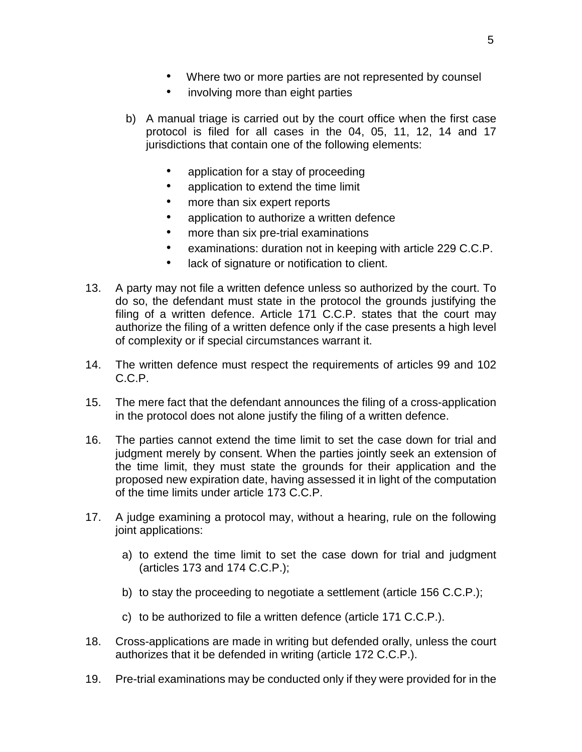- Where two or more parties are not represented by counsel
- involving more than eight parties
- b) A manual triage is carried out by the court office when the first case protocol is filed for all cases in the 04, 05, 11, 12, 14 and 17 jurisdictions that contain one of the following elements:
	- application for a stay of proceeding
	- application to extend the time limit
	- more than six expert reports
	- application to authorize a written defence
	- more than six pre-trial examinations
	- examinations: duration not in keeping with article 229 C.C.P.
	- lack of signature or notification to client.
- 13. A party may not file a written defence unless so authorized by the court. To do so, the defendant must state in the protocol the grounds justifying the filing of a written defence. Article 171 C.C.P. states that the court may authorize the filing of a written defence only if the case presents a high level of complexity or if special circumstances warrant it.
- 14. The written defence must respect the requirements of articles 99 and 102 C.C.P.
- 15. The mere fact that the defendant announces the filing of a cross-application in the protocol does not alone justify the filing of a written defence.
- 16. The parties cannot extend the time limit to set the case down for trial and judgment merely by consent. When the parties jointly seek an extension of the time limit, they must state the grounds for their application and the proposed new expiration date, having assessed it in light of the computation of the time limits under article 173 C.C.P.
- 17. A judge examining a protocol may, without a hearing, rule on the following joint applications:
	- a) to extend the time limit to set the case down for trial and judgment (articles 173 and 174 C.C.P.);
	- b) to stay the proceeding to negotiate a settlement (article 156 C.C.P.);
	- c) to be authorized to file a written defence (article 171 C.C.P.).
- 18. Cross-applications are made in writing but defended orally, unless the court authorizes that it be defended in writing (article 172 C.C.P.).
- 19. Pre-trial examinations may be conducted only if they were provided for in the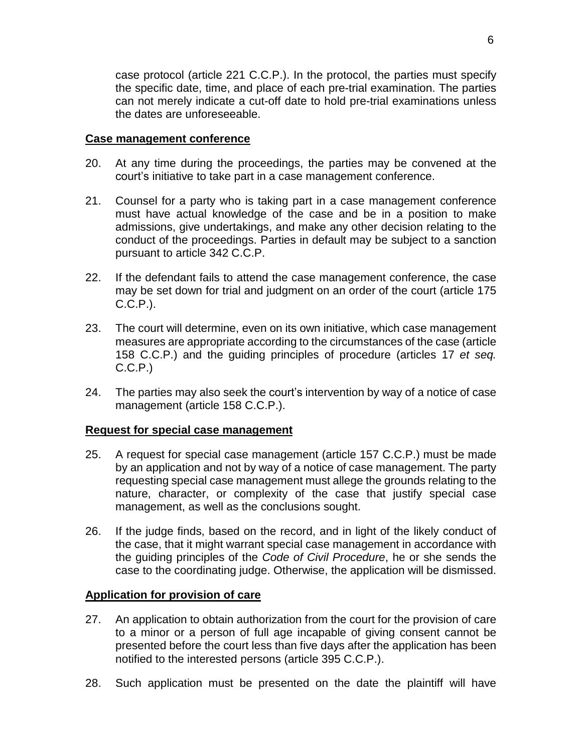case protocol (article 221 C.C.P.). In the protocol, the parties must specify the specific date, time, and place of each pre-trial examination. The parties can not merely indicate a cut-off date to hold pre-trial examinations unless the dates are unforeseeable.

#### <span id="page-5-0"></span>**Case management conference**

- 20. At any time during the proceedings, the parties may be convened at the court's initiative to take part in a case management conference.
- 21. Counsel for a party who is taking part in a case management conference must have actual knowledge of the case and be in a position to make admissions, give undertakings, and make any other decision relating to the conduct of the proceedings. Parties in default may be subject to a sanction pursuant to article 342 C.C.P.
- 22. If the defendant fails to attend the case management conference, the case may be set down for trial and judgment on an order of the court (article 175 C.C.P.).
- 23. The court will determine, even on its own initiative, which case management measures are appropriate according to the circumstances of the case (article 158 C.C.P.) and the guiding principles of procedure (articles 17 *et seq.* C.C.P.)
- 24. The parties may also seek the court's intervention by way of a notice of case management (article 158 C.C.P.).

# <span id="page-5-1"></span>**Request for special case management**

- 25. A request for special case management (article 157 C.C.P.) must be made by an application and not by way of a notice of case management. The party requesting special case management must allege the grounds relating to the nature, character, or complexity of the case that justify special case management, as well as the conclusions sought.
- 26. If the judge finds, based on the record, and in light of the likely conduct of the case, that it might warrant special case management in accordance with the guiding principles of the *Code of Civil Procedure*, he or she sends the case to the coordinating judge. Otherwise, the application will be dismissed.

# <span id="page-5-2"></span>**Application for provision of care**

- 27. An application to obtain authorization from the court for the provision of care to a minor or a person of full age incapable of giving consent cannot be presented before the court less than five days after the application has been notified to the interested persons (article 395 C.C.P.).
- 28. Such application must be presented on the date the plaintiff will have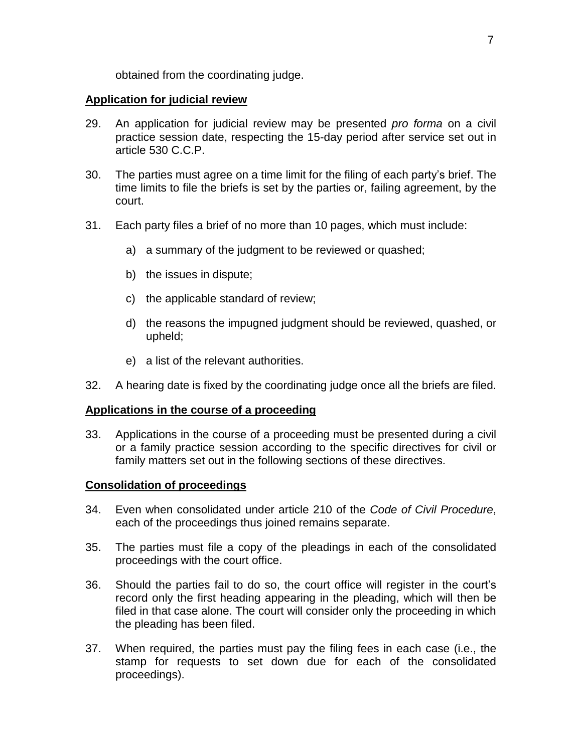obtained from the coordinating judge.

### <span id="page-6-0"></span>**Application for judicial review**

- 29. An application for judicial review may be presented *pro forma* on a civil practice session date, respecting the 15-day period after service set out in article 530 C.C.P.
- 30. The parties must agree on a time limit for the filing of each party's brief. The time limits to file the briefs is set by the parties or, failing agreement, by the court.
- 31. Each party files a brief of no more than 10 pages, which must include:
	- a) a summary of the judgment to be reviewed or quashed;
	- b) the issues in dispute;
	- c) the applicable standard of review;
	- d) the reasons the impugned judgment should be reviewed, quashed, or upheld;
	- e) a list of the relevant authorities.
- 32. A hearing date is fixed by the coordinating judge once all the briefs are filed.

# <span id="page-6-1"></span>**Applications in the course of a proceeding**

33. Applications in the course of a proceeding must be presented during a civil or a family practice session according to the specific directives for civil or family matters set out in the following sections of these directives.

# <span id="page-6-2"></span>**Consolidation of proceedings**

- 34. Even when consolidated under article 210 of the *Code of Civil Procedure*, each of the proceedings thus joined remains separate.
- 35. The parties must file a copy of the pleadings in each of the consolidated proceedings with the court office.
- 36. Should the parties fail to do so, the court office will register in the court's record only the first heading appearing in the pleading, which will then be filed in that case alone. The court will consider only the proceeding in which the pleading has been filed.
- 37. When required, the parties must pay the filing fees in each case (i.e., the stamp for requests to set down due for each of the consolidated proceedings).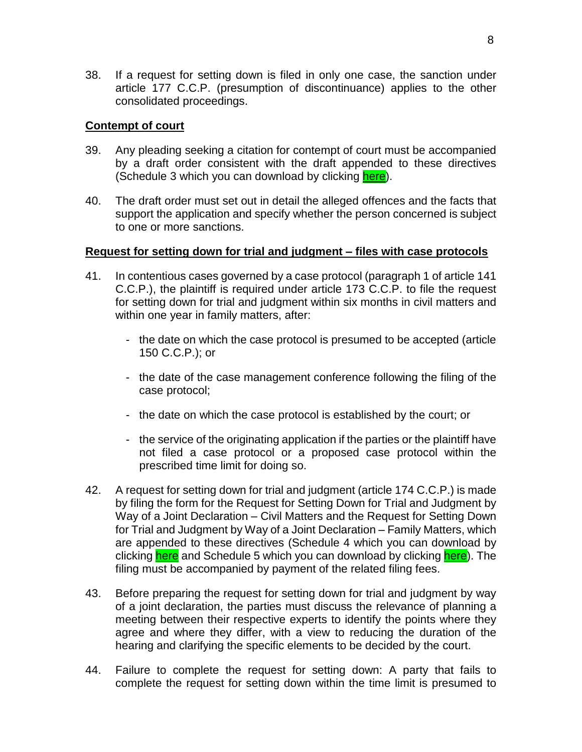38. If a request for setting down is filed in only one case, the sanction under article 177 C.C.P. (presumption of discontinuance) applies to the other consolidated proceedings.

### <span id="page-7-0"></span>**Contempt of court**

- 39. Any pleading seeking a citation for contempt of court must be accompanied by a draft order consistent with the draft appended to these directives (Schedule 3 which you can download by clicking [here\)](https://coursuperieureduquebec.ca/fileadmin/cour-superieure/Districts_judiciaires/Gatineau/Annexes/version_anglaise/DIRECTIVES_-_SCHEDULE_3_.docx).
- 40. The draft order must set out in detail the alleged offences and the facts that support the application and specify whether the person concerned is subject to one or more sanctions.

#### <span id="page-7-1"></span>**Request for setting down for trial and judgment – files with case protocols**

- 41. In contentious cases governed by a case protocol (paragraph 1 of article 141 C.C.P.), the plaintiff is required under article 173 C.C.P. to file the request for setting down for trial and judgment within six months in civil matters and within one year in family matters, after:
	- the date on which the case protocol is presumed to be accepted (article 150 C.C.P.); or
	- the date of the case management conference following the filing of the case protocol;
	- the date on which the case protocol is established by the court; or
	- the service of the originating application if the parties or the plaintiff have not filed a case protocol or a proposed case protocol within the prescribed time limit for doing so.
- 42. A request for setting down for trial and judgment (article 174 C.C.P.) is made by filing the form for the Request for Setting Down for Trial and Judgment by Way of a Joint Declaration – Civil Matters and the Request for Setting Down for Trial and Judgment by Way of a Joint Declaration – Family Matters, which are appended to these directives (Schedule 4 which you can download by clicking [here](https://coursuperieureduquebec.ca/fileadmin/cour-superieure/Districts_judiciaires/Gatineau/Annexes/version_anglaise/DIRECTIVES_-_SCHEDULE_4.docx) and Schedule 5 which you can download by clicking [here\)](https://coursuperieureduquebec.ca/fileadmin/cour-superieure/Districts_judiciaires/Gatineau/Annexes/version_anglaise/DIRECTIVES_-_SCHEDULE_5.docx). The filing must be accompanied by payment of the related filing fees.
- 43. Before preparing the request for setting down for trial and judgment by way of a joint declaration, the parties must discuss the relevance of planning a meeting between their respective experts to identify the points where they agree and where they differ, with a view to reducing the duration of the hearing and clarifying the specific elements to be decided by the court.
- 44. Failure to complete the request for setting down: A party that fails to complete the request for setting down within the time limit is presumed to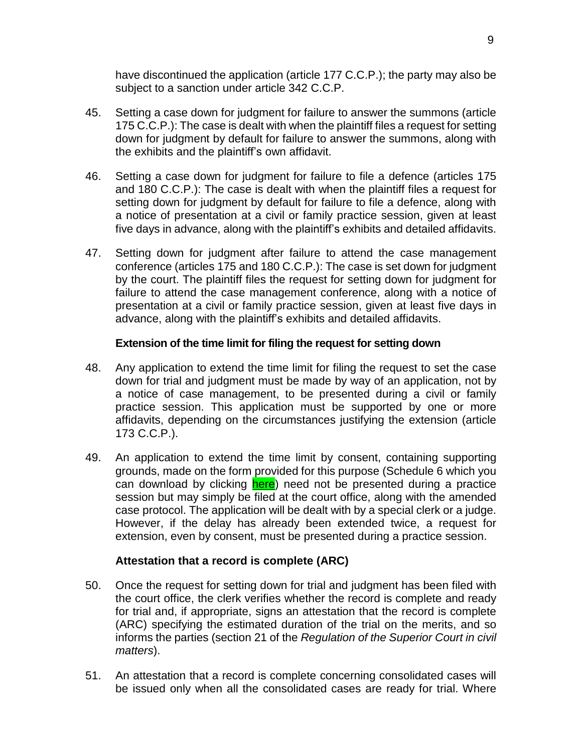have discontinued the application (article 177 C.C.P.); the party may also be subject to a sanction under article 342 C.C.P.

- 45. Setting a case down for judgment for failure to answer the summons (article 175 C.C.P.): The case is dealt with when the plaintiff files a request for setting down for judgment by default for failure to answer the summons, along with the exhibits and the plaintiff's own affidavit.
- 46. Setting a case down for judgment for failure to file a defence (articles 175 and 180 C.C.P.): The case is dealt with when the plaintiff files a request for setting down for judgment by default for failure to file a defence, along with a notice of presentation at a civil or family practice session, given at least five days in advance, along with the plaintiff's exhibits and detailed affidavits.
- 47. Setting down for judgment after failure to attend the case management conference (articles 175 and 180 C.C.P.): The case is set down for judgment by the court. The plaintiff files the request for setting down for judgment for failure to attend the case management conference, along with a notice of presentation at a civil or family practice session, given at least five days in advance, along with the plaintiff's exhibits and detailed affidavits.

# **Extension of the time limit for filing the request for setting down**

- <span id="page-8-0"></span>48. Any application to extend the time limit for filing the request to set the case down for trial and judgment must be made by way of an application, not by a notice of case management, to be presented during a civil or family practice session. This application must be supported by one or more affidavits, depending on the circumstances justifying the extension (article 173 C.C.P.).
- 49. An application to extend the time limit by consent, containing supporting grounds, made on the form provided for this purpose (Schedule 6 which you can download by clicking [here\)](https://coursuperieureduquebec.ca/fileadmin/cour-superieure/Districts_judiciaires/Gatineau/Annexes/version_anglaise/DIRECTIVES_-_SCHEDULE_6.docx) need not be presented during a practice session but may simply be filed at the court office, along with the amended case protocol. The application will be dealt with by a special clerk or a judge. However, if the delay has already been extended twice, a request for extension, even by consent, must be presented during a practice session.

# **Attestation that a record is complete (ARC)**

- <span id="page-8-1"></span>50. Once the request for setting down for trial and judgment has been filed with the court office, the clerk verifies whether the record is complete and ready for trial and, if appropriate, signs an attestation that the record is complete (ARC) specifying the estimated duration of the trial on the merits, and so informs the parties (section 21 of the *Regulation of the Superior Court in civil matters*).
- 51. An attestation that a record is complete concerning consolidated cases will be issued only when all the consolidated cases are ready for trial. Where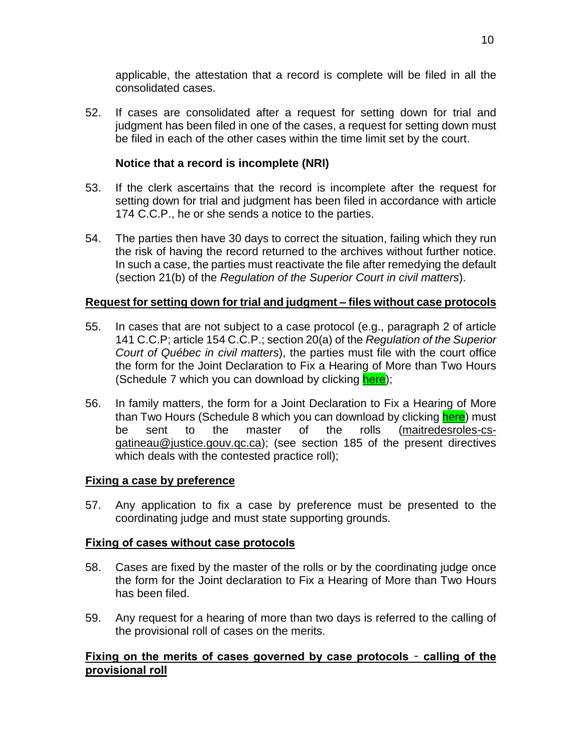applicable, the attestation that a record is complete will be filed in all the consolidated cases.

52. If cases are consolidated after a request for setting down for trial and judgment has been filed in one of the cases, a request for setting down must be filed in each of the other cases within the time limit set by the court.

# **Notice that a record is incomplete (NRI)**

- <span id="page-9-0"></span>53. If the clerk ascertains that the record is incomplete after the request for setting down for trial and judgment has been filed in accordance with article 174 C.C.P., he or she sends a notice to the parties.
- 54. The parties then have 30 days to correct the situation, failing which they run the risk of having the record returned to the archives without further notice. In such a case, the parties must reactivate the file after remedying the default (section 21(b) of the *Regulation of the Superior Court in civil matters*).

# <span id="page-9-1"></span>**Request for setting down for trial and judgment – files without case protocols**

- 55. In cases that are not subject to a case protocol (e.g., paragraph 2 of article 141 C.C.P; article 154 C.C.P.; section 20(a) of the *Regulation of the Superior Court of Québec in civil matters*), the parties must file with the court office the form for the Joint Declaration to Fix a Hearing of More than Two Hours (Schedule 7 which you can download by clicking [here\)](https://coursuperieureduquebec.ca/fileadmin/cour-superieure/Districts_judiciaires/Gatineau/Annexes/version_anglaise/DIRECTIVES_-_SCHEDULE_7.docx);
- 56. In family matters, the form for a Joint Declaration to Fix a Hearing of More than Two Hours (Schedule 8 which you can download by clicking [here\)](https://coursuperieureduquebec.ca/fileadmin/cour-superieure/Districts_judiciaires/Gatineau/Annexes/version_anglaise/DIRECTIVES_-_SCHEDULE_8.docx) must be sent to the master of the rolls [\(maitredesroles-cs](mailto:maitredesroles-cs-gatineau@justice.gouv.qc.ca)[gatineau@justice.gouv.qc.ca\)](mailto:maitredesroles-cs-gatineau@justice.gouv.qc.ca); (see section 185 of the present directives which deals with the contested practice roll);

# <span id="page-9-2"></span>**Fixing a case by preference**

57. Any application to fix a case by preference must be presented to the coordinating judge and must state supporting grounds.

# <span id="page-9-3"></span>**Fixing of cases without case protocols**

- 58. Cases are fixed by the master of the rolls or by the coordinating judge once the form for the Joint declaration to Fix a Hearing of More than Two Hours has been filed.
- 59. Any request for a hearing of more than two days is referred to the calling of the provisional roll of cases on the merits.

# <span id="page-9-4"></span>**Fixing on the merits of cases governed by case protocols** – **calling of the provisional roll**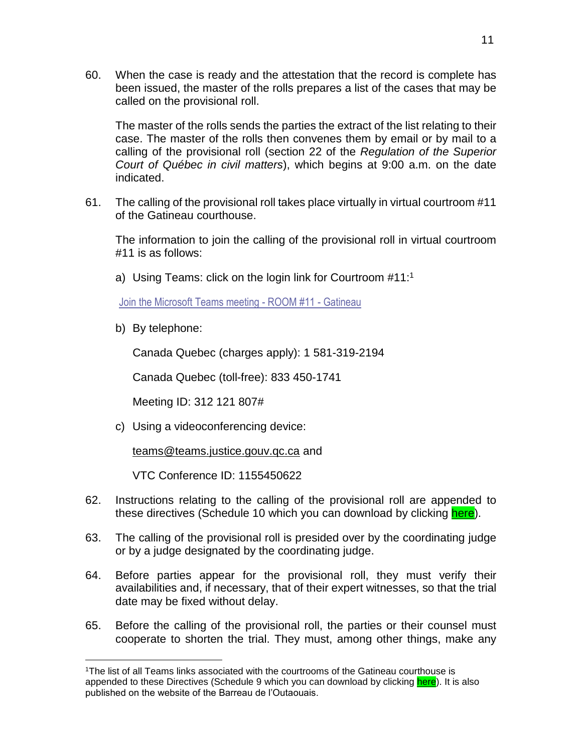60. When the case is ready and the attestation that the record is complete has been issued, the master of the rolls prepares a list of the cases that may be called on the provisional roll.

The master of the rolls sends the parties the extract of the list relating to their case. The master of the rolls then convenes them by email or by mail to a calling of the provisional roll (section 22 of the *Regulation of the Superior Court of Québec in civil matters*), which begins at 9:00 a.m. on the date indicated.

61. The calling of the provisional roll takes place virtually in virtual courtroom #11 of the Gatineau courthouse.

The information to join the calling of the provisional roll in virtual courtroom #11 is as follows:

a) Using Teams: click on the login link for Courtroom #11:<sup>1</sup>

Join the [Microsoft](https://teams.microsoft.com/l/meetup-join/19%3ameeting_ZjAzOTE0NDgtMWY5OC00Y2JiLWJmODQtMDg0YzMwY2YwMjIx%40thread.v2/0?context=%7b%22Tid%22%3a%223f6dec78-7ded-4395-975c-6edbb7d10b16%22%2c%22Oid%22%3a%22d6a23183-9925-4ce3-88fa-e0836dcc5925%22%7d) Teams meeting - ROOM #11 - Gatineau

b) By telephone:

 $\overline{a}$ 

Canada Quebec (charges apply): 1 581-319-2194

Canada Quebec (toll-free): 833 450-1741

Meeting ID: 312 121 807#

c) Using a videoconferencing device:

[teams@teams.justice.gouv.qc.ca](mailto:teams@teams.justice.gouv.qc.ca) and

VTC Conference ID: 1155450622

- 62. Instructions relating to the calling of the provisional roll are appended to these directives (Schedule 10 which you can download by clicking [here\)](https://coursuperieureduquebec.ca/fileadmin/cour-superieure/Districts_judiciaires/Gatineau/Annexes/version_anglaise/DIRECTIVES_-_SCHEDULE_10.docx).
- 63. The calling of the provisional roll is presided over by the coordinating judge or by a judge designated by the coordinating judge.
- 64. Before parties appear for the provisional roll, they must verify their availabilities and, if necessary, that of their expert witnesses, so that the trial date may be fixed without delay.
- 65. Before the calling of the provisional roll, the parties or their counsel must cooperate to shorten the trial. They must, among other things, make any

<sup>1</sup>The list of all Teams links associated with the courtrooms of the Gatineau courthouse is appended to these Directives (Schedule 9 which you can download by clicking [here\)](https://coursuperieureduquebec.ca/fileadmin/cour-superieure/Districts_judiciaires/Gatineau/Annexes/version_anglaise/DIRECTIVES_-_SCHEDULE_9.pdf). It is also published on the website of the Barreau de l'Outaouais.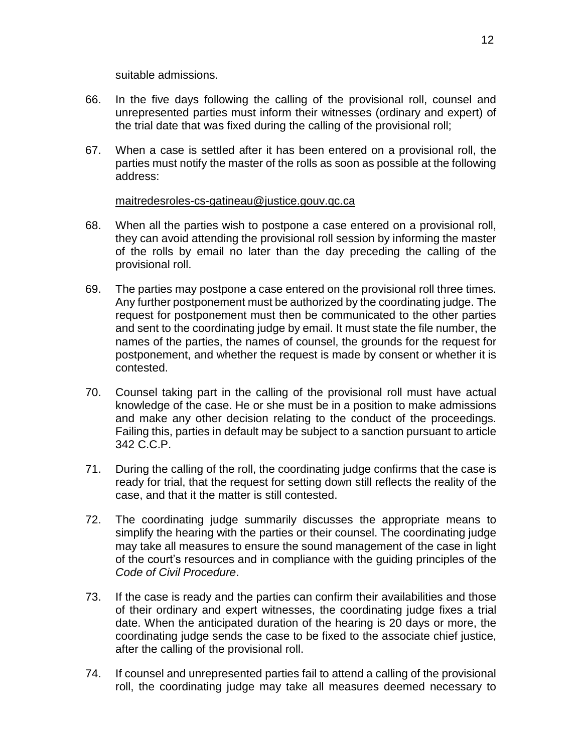suitable admissions.

- 66. In the five days following the calling of the provisional roll, counsel and unrepresented parties must inform their witnesses (ordinary and expert) of the trial date that was fixed during the calling of the provisional roll;
- 67. When a case is settled after it has been entered on a provisional roll, the parties must notify the master of the rolls as soon as possible at the following address:

# [maitredesroles-cs-gatineau@justice.gouv.qc.ca](mailto:maitredesroles-cs-gatineau@justice.gouv.qc.ca)

- 68. When all the parties wish to postpone a case entered on a provisional roll, they can avoid attending the provisional roll session by informing the master of the rolls by email no later than the day preceding the calling of the provisional roll.
- 69. The parties may postpone a case entered on the provisional roll three times. Any further postponement must be authorized by the coordinating judge. The request for postponement must then be communicated to the other parties and sent to the coordinating judge by email. It must state the file number, the names of the parties, the names of counsel, the grounds for the request for postponement, and whether the request is made by consent or whether it is contested.
- 70. Counsel taking part in the calling of the provisional roll must have actual knowledge of the case. He or she must be in a position to make admissions and make any other decision relating to the conduct of the proceedings. Failing this, parties in default may be subject to a sanction pursuant to article 342 C.C.P.
- 71. During the calling of the roll, the coordinating judge confirms that the case is ready for trial, that the request for setting down still reflects the reality of the case, and that it the matter is still contested.
- 72. The coordinating judge summarily discusses the appropriate means to simplify the hearing with the parties or their counsel. The coordinating judge may take all measures to ensure the sound management of the case in light of the court's resources and in compliance with the guiding principles of the *Code of Civil Procedure*.
- 73. If the case is ready and the parties can confirm their availabilities and those of their ordinary and expert witnesses, the coordinating judge fixes a trial date. When the anticipated duration of the hearing is 20 days or more, the coordinating judge sends the case to be fixed to the associate chief justice, after the calling of the provisional roll.
- 74. If counsel and unrepresented parties fail to attend a calling of the provisional roll, the coordinating judge may take all measures deemed necessary to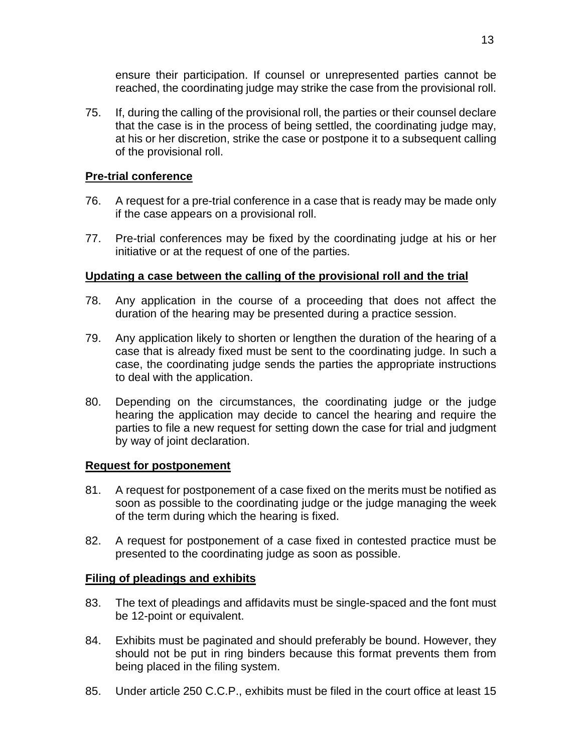ensure their participation. If counsel or unrepresented parties cannot be reached, the coordinating judge may strike the case from the provisional roll.

75. If, during the calling of the provisional roll, the parties or their counsel declare that the case is in the process of being settled, the coordinating judge may, at his or her discretion, strike the case or postpone it to a subsequent calling of the provisional roll.

# <span id="page-12-0"></span>**Pre-trial conference**

- 76. A request for a pre-trial conference in a case that is ready may be made only if the case appears on a provisional roll.
- 77. Pre-trial conferences may be fixed by the coordinating judge at his or her initiative or at the request of one of the parties.

# <span id="page-12-1"></span>**Updating a case between the calling of the provisional roll and the trial**

- 78. Any application in the course of a proceeding that does not affect the duration of the hearing may be presented during a practice session.
- 79. Any application likely to shorten or lengthen the duration of the hearing of a case that is already fixed must be sent to the coordinating judge. In such a case, the coordinating judge sends the parties the appropriate instructions to deal with the application.
- 80. Depending on the circumstances, the coordinating judge or the judge hearing the application may decide to cancel the hearing and require the parties to file a new request for setting down the case for trial and judgment by way of joint declaration.

# <span id="page-12-2"></span>**Request for postponement**

- 81. A request for postponement of a case fixed on the merits must be notified as soon as possible to the coordinating judge or the judge managing the week of the term during which the hearing is fixed.
- 82. A request for postponement of a case fixed in contested practice must be presented to the coordinating judge as soon as possible.

# <span id="page-12-3"></span>**Filing of pleadings and exhibits**

- 83. The text of pleadings and affidavits must be single-spaced and the font must be 12-point or equivalent.
- 84. Exhibits must be paginated and should preferably be bound. However, they should not be put in ring binders because this format prevents them from being placed in the filing system.
- 85. Under article 250 C.C.P., exhibits must be filed in the court office at least 15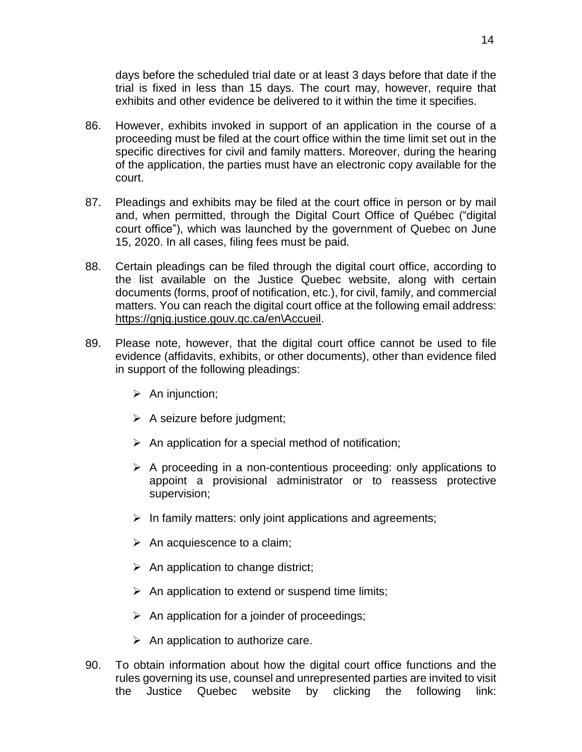days before the scheduled trial date or at least 3 days before that date if the trial is fixed in less than 15 days. The court may, however, require that exhibits and other evidence be delivered to it within the time it specifies.

- 86. However, exhibits invoked in support of an application in the course of a proceeding must be filed at the court office within the time limit set out in the specific directives for civil and family matters. Moreover, during the hearing of the application, the parties must have an electronic copy available for the court.
- 87. Pleadings and exhibits may be filed at the court office in person or by mail and, when permitted, through the Digital Court Office of Québec ("digital court office"), which was launched by the government of Quebec on June 15, 2020. In all cases, filing fees must be paid.
- 88. Certain pleadings can be filed through the digital court office, according to the list available on the Justice Quebec website, along with certain documents (forms, proof of notification, etc.), for civil, family, and commercial matters. You can reach the digital court office at the following email address: [https://gnjq.justice.gouv.qc.ca/en\Accueil.](https://gnjq.justice.gouv.qc.ca/en/Accueil)
- 89. Please note, however, that the digital court office cannot be used to file evidence (affidavits, exhibits, or other documents), other than evidence filed in support of the following pleadings:
	- $\triangleright$  An injunction;
	- $\triangleright$  A seizure before judgment;
	- $\triangleright$  An application for a special method of notification;
	- $\triangleright$  A proceeding in a non-contentious proceeding: only applications to appoint a provisional administrator or to reassess protective supervision;
	- $\triangleright$  In family matters: only joint applications and agreements;
	- $\triangleright$  An acquiescence to a claim;
	- $\triangleright$  An application to change district;
	- $\triangleright$  An application to extend or suspend time limits;
	- $\triangleright$  An application for a joinder of proceedings;
	- $\triangleright$  An application to authorize care.
- 90. To obtain information about how the digital court office functions and the rules governing its use, counsel and unrepresented parties are invited to visit the Justice Quebec website by clicking the following link: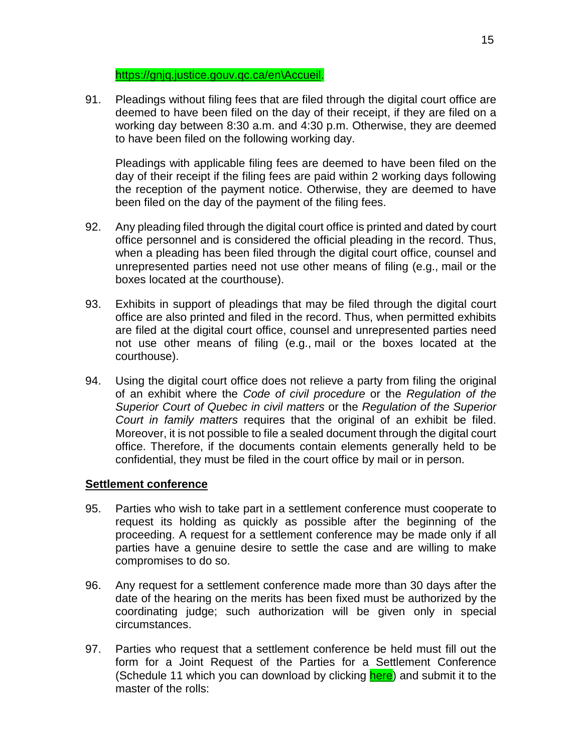#### [https://gnjq.justice.gouv.qc.ca/en\Accueil.](https://gnjq.justice.gouv.qc.ca/en/Accueil)

91. Pleadings without filing fees that are filed through the digital court office are deemed to have been filed on the day of their receipt, if they are filed on a working day between 8:30 a.m. and 4:30 p.m. Otherwise, they are deemed to have been filed on the following working day.

Pleadings with applicable filing fees are deemed to have been filed on the day of their receipt if the filing fees are paid within 2 working days following the reception of the payment notice. Otherwise, they are deemed to have been filed on the day of the payment of the filing fees.

- 92. Any pleading filed through the digital court office is printed and dated by court office personnel and is considered the official pleading in the record. Thus, when a pleading has been filed through the digital court office, counsel and unrepresented parties need not use other means of filing (e.g., mail or the boxes located at the courthouse).
- 93. Exhibits in support of pleadings that may be filed through the digital court office are also printed and filed in the record. Thus, when permitted exhibits are filed at the digital court office, counsel and unrepresented parties need not use other means of filing (e.g., mail or the boxes located at the courthouse).
- 94. Using the digital court office does not relieve a party from filing the original of an exhibit where the *Code of civil procedure* or the *Regulation of the Superior Court of Quebec in civil matters* or the *Regulation of the Superior Court in family matters* requires that the original of an exhibit be filed. Moreover, it is not possible to file a sealed document through the digital court office. Therefore, if the documents contain elements generally held to be confidential, they must be filed in the court office by mail or in person.

# <span id="page-14-0"></span>**Settlement conference**

- 95. Parties who wish to take part in a settlement conference must cooperate to request its holding as quickly as possible after the beginning of the proceeding. A request for a settlement conference may be made only if all parties have a genuine desire to settle the case and are willing to make compromises to do so.
- 96. Any request for a settlement conference made more than 30 days after the date of the hearing on the merits has been fixed must be authorized by the coordinating judge; such authorization will be given only in special circumstances.
- 97. Parties who request that a settlement conference be held must fill out the form for a Joint Request of the Parties for a Settlement Conference (Schedule 11 which you can download by clicking [here\)](https://coursuperieureduquebec.ca/fileadmin/cour-superieure/Districts_judiciaires/Gatineau/Annexes/version_anglaise/DIRECTIVES_-_SCHEDULE_11.docx) and submit it to the master of the rolls: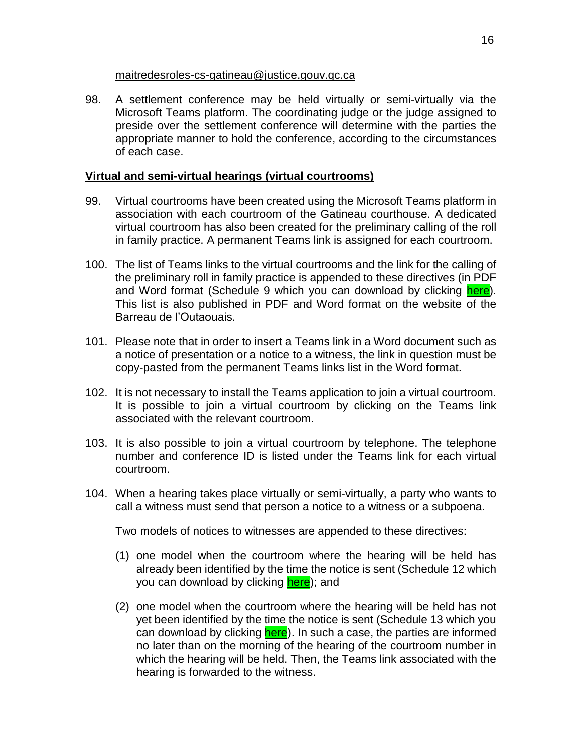#### [maitredesroles-cs-gatineau@justice.gouv.qc.ca](mailto:maitredesroles-cs-gatineau@justice.gouv.qc.ca)

98. A settlement conference may be held virtually or semi-virtually via the Microsoft Teams platform. The coordinating judge or the judge assigned to preside over the settlement conference will determine with the parties the appropriate manner to hold the conference, according to the circumstances of each case.

# <span id="page-15-0"></span>**Virtual and semi-virtual hearings (virtual courtrooms)**

- 99. Virtual courtrooms have been created using the Microsoft Teams platform in association with each courtroom of the Gatineau courthouse. A dedicated virtual courtroom has also been created for the preliminary calling of the roll in family practice. A permanent Teams link is assigned for each courtroom.
- 100. The list of Teams links to the virtual courtrooms and the link for the calling of the preliminary roll in family practice is appended to these directives (in PDF and Word format (Schedule 9 which you can download by clicking [here\)](https://coursuperieureduquebec.ca/fileadmin/cour-superieure/Districts_judiciaires/Gatineau/Annexes/version_anglaise/DIRECTIVES_-_SCHEDULE_9.pdf). This list is also published in PDF and Word format on the website of the Barreau de l'Outaouais.
- 101. Please note that in order to insert a Teams link in a Word document such as a notice of presentation or a notice to a witness, the link in question must be copy-pasted from the permanent Teams links list in the Word format.
- 102. It is not necessary to install the Teams application to join a virtual courtroom. It is possible to join a virtual courtroom by clicking on the Teams link associated with the relevant courtroom.
- 103. It is also possible to join a virtual courtroom by telephone. The telephone number and conference ID is listed under the Teams link for each virtual courtroom.
- 104. When a hearing takes place virtually or semi-virtually, a party who wants to call a witness must send that person a notice to a witness or a subpoena.

Two models of notices to witnesses are appended to these directives:

- (1) one model when the courtroom where the hearing will be held has already been identified by the time the notice is sent (Schedule 12 which you can download by clicking **here**); and
- (2) one model when the courtroom where the hearing will be held has not yet been identified by the time the notice is sent (Schedule 13 which you can download by clicking [here\)](https://coursuperieureduquebec.ca/fileadmin/cour-superieure/Districts_judiciaires/Gatineau/Annexes/version_anglaise/DIRECTIVES_-_SCHEDULE_13.docx). In such a case, the parties are informed no later than on the morning of the hearing of the courtroom number in which the hearing will be held. Then, the Teams link associated with the hearing is forwarded to the witness.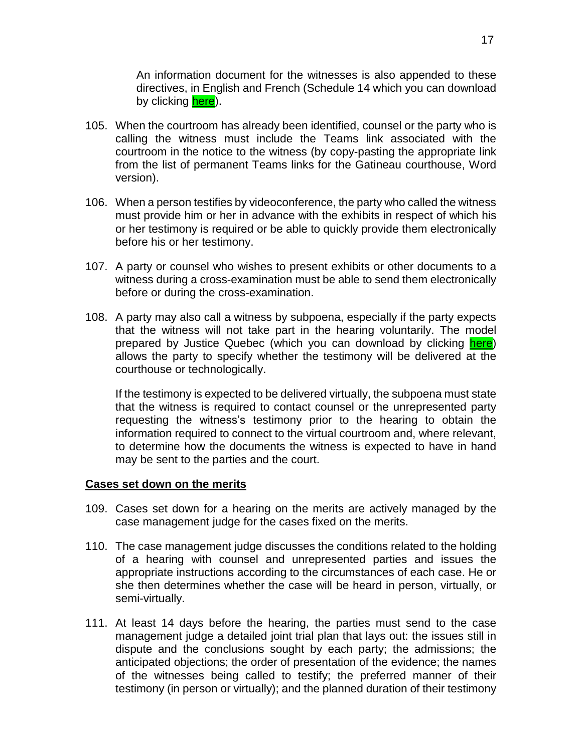An information document for the witnesses is also appended to these directives, in English and French (Schedule 14 which you can download by clicking [here\)](https://coursuperieureduquebec.ca/fileadmin/cour-superieure/Districts_judiciaires/Gatineau/Annexes/version_anglaise/DIRECTIVES_-_SCHEDULE_14.pdf).

- 105. When the courtroom has already been identified, counsel or the party who is calling the witness must include the Teams link associated with the courtroom in the notice to the witness (by copy-pasting the appropriate link from the list of permanent Teams links for the Gatineau courthouse, Word version).
- 106. When a person testifies by videoconference, the party who called the witness must provide him or her in advance with the exhibits in respect of which his or her testimony is required or be able to quickly provide them electronically before his or her testimony.
- 107. A party or counsel who wishes to present exhibits or other documents to a witness during a cross-examination must be able to send them electronically before or during the cross-examination.
- 108. A party may also call a witness by subpoena, especially if the party expects that the witness will not take part in the hearing voluntarily. The model prepared by Justice Quebec (which you can download by clicking [here\)](https://www.justice.gouv.qc.ca/fileadmin/user_upload/contenu/documents/En__Anglais_/centredoc/formulaires/vos-differends/sj282-a.pdf) allows the party to specify whether the testimony will be delivered at the courthouse or technologically.

If the testimony is expected to be delivered virtually, the subpoena must state that the witness is required to contact counsel or the unrepresented party requesting the witness's testimony prior to the hearing to obtain the information required to connect to the virtual courtroom and, where relevant, to determine how the documents the witness is expected to have in hand may be sent to the parties and the court.

#### <span id="page-16-0"></span>**Cases set down on the merits**

- 109. Cases set down for a hearing on the merits are actively managed by the case management judge for the cases fixed on the merits.
- 110. The case management judge discusses the conditions related to the holding of a hearing with counsel and unrepresented parties and issues the appropriate instructions according to the circumstances of each case. He or she then determines whether the case will be heard in person, virtually, or semi-virtually.
- 111. At least 14 days before the hearing, the parties must send to the case management judge a detailed joint trial plan that lays out: the issues still in dispute and the conclusions sought by each party; the admissions; the anticipated objections; the order of presentation of the evidence; the names of the witnesses being called to testify; the preferred manner of their testimony (in person or virtually); and the planned duration of their testimony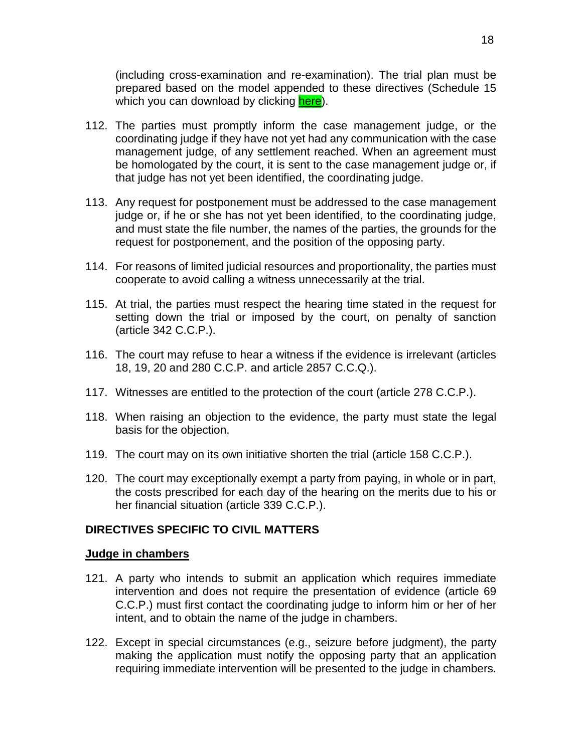(including cross-examination and re-examination). The trial plan must be prepared based on the model appended to these directives (Schedule 15 which you can download by clicking [here\)](https://coursuperieureduquebec.ca/fileadmin/cour-superieure/Districts_judiciaires/Gatineau/Annexes/version_anglaise/DIRECTIVES_-_SCHEDULE_15.docx).

- 112. The parties must promptly inform the case management judge, or the coordinating judge if they have not yet had any communication with the case management judge, of any settlement reached. When an agreement must be homologated by the court, it is sent to the case management judge or, if that judge has not yet been identified, the coordinating judge.
- 113. Any request for postponement must be addressed to the case management judge or, if he or she has not yet been identified, to the coordinating judge, and must state the file number, the names of the parties, the grounds for the request for postponement, and the position of the opposing party.
- 114. For reasons of limited judicial resources and proportionality, the parties must cooperate to avoid calling a witness unnecessarily at the trial.
- 115. At trial, the parties must respect the hearing time stated in the request for setting down the trial or imposed by the court, on penalty of sanction (article 342 C.C.P.).
- 116. The court may refuse to hear a witness if the evidence is irrelevant (articles 18, 19, 20 and 280 C.C.P. and article 2857 C.C.Q.).
- 117. Witnesses are entitled to the protection of the court (article 278 C.C.P.).
- 118. When raising an objection to the evidence, the party must state the legal basis for the objection.
- 119. The court may on its own initiative shorten the trial (article 158 C.C.P.).
- 120. The court may exceptionally exempt a party from paying, in whole or in part, the costs prescribed for each day of the hearing on the merits due to his or her financial situation (article 339 C.C.P.).

# <span id="page-17-0"></span>**DIRECTIVES SPECIFIC TO CIVIL MATTERS**

#### <span id="page-17-1"></span>**Judge in chambers**

- 121. A party who intends to submit an application which requires immediate intervention and does not require the presentation of evidence (article 69 C.C.P.) must first contact the coordinating judge to inform him or her of her intent, and to obtain the name of the judge in chambers.
- 122. Except in special circumstances (e.g., seizure before judgment), the party making the application must notify the opposing party that an application requiring immediate intervention will be presented to the judge in chambers.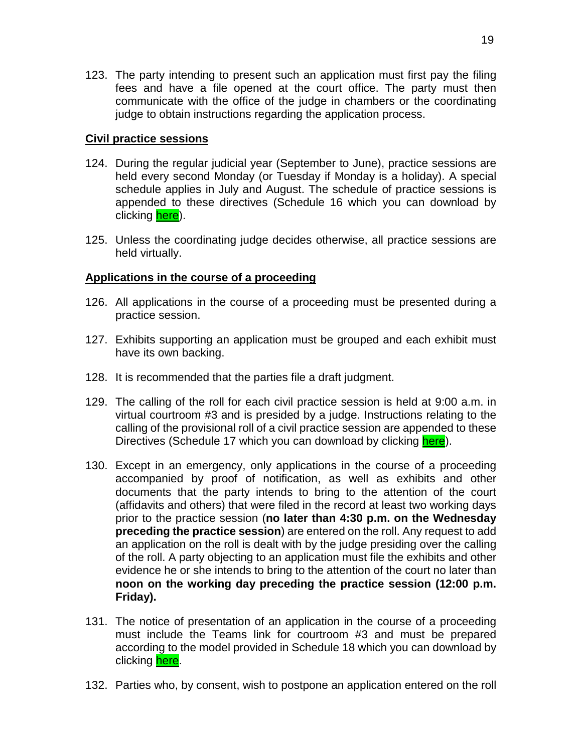123. The party intending to present such an application must first pay the filing fees and have a file opened at the court office. The party must then communicate with the office of the judge in chambers or the coordinating judge to obtain instructions regarding the application process.

### <span id="page-18-0"></span>**Civil practice sessions**

- 124. During the regular judicial year (September to June), practice sessions are held every second Monday (or Tuesday if Monday is a holiday). A special schedule applies in July and August. The schedule of practice sessions is appended to these directives (Schedule 16 which you can download by clicking [here\)](https://coursuperieureduquebec.ca/fileadmin/cour-superieure/Districts_judiciaires/Gatineau/Annexes/version_anglaise/DIRECTIVES_-_SCHEDULE_16.docx).
- 125. Unless the coordinating judge decides otherwise, all practice sessions are held virtually.

# <span id="page-18-1"></span>**Applications in the course of a proceeding**

- 126. All applications in the course of a proceeding must be presented during a practice session.
- 127. Exhibits supporting an application must be grouped and each exhibit must have its own backing.
- 128. It is recommended that the parties file a draft judgment.
- 129. The calling of the roll for each civil practice session is held at 9:00 a.m. in virtual courtroom #3 and is presided by a judge. Instructions relating to the calling of the provisional roll of a civil practice session are appended to these Directives (Schedule 17 which you can download by clicking [here\)](https://coursuperieureduquebec.ca/fileadmin/cour-superieure/Districts_judiciaires/Gatineau/Annexes/version_anglaise/DIRECTIVES_-_SCHEDULE_17.docx).
- 130. Except in an emergency, only applications in the course of a proceeding accompanied by proof of notification, as well as exhibits and other documents that the party intends to bring to the attention of the court (affidavits and others) that were filed in the record at least two working days prior to the practice session (**no later than 4:30 p.m. on the Wednesday preceding the practice session**) are entered on the roll. Any request to add an application on the roll is dealt with by the judge presiding over the calling of the roll. A party objecting to an application must file the exhibits and other evidence he or she intends to bring to the attention of the court no later than **noon on the working day preceding the practice session (12:00 p.m. Friday).**
- 131. The notice of presentation of an application in the course of a proceeding must include the Teams link for courtroom #3 and must be prepared according to the model provided in Schedule 18 which you can download by clicking [here.](https://coursuperieureduquebec.ca/fileadmin/cour-superieure/Districts_judiciaires/Gatineau/Annexes/version_anglaise/DIRECTIVES_-_SCHEDULE_18.docx)
- 132. Parties who, by consent, wish to postpone an application entered on the roll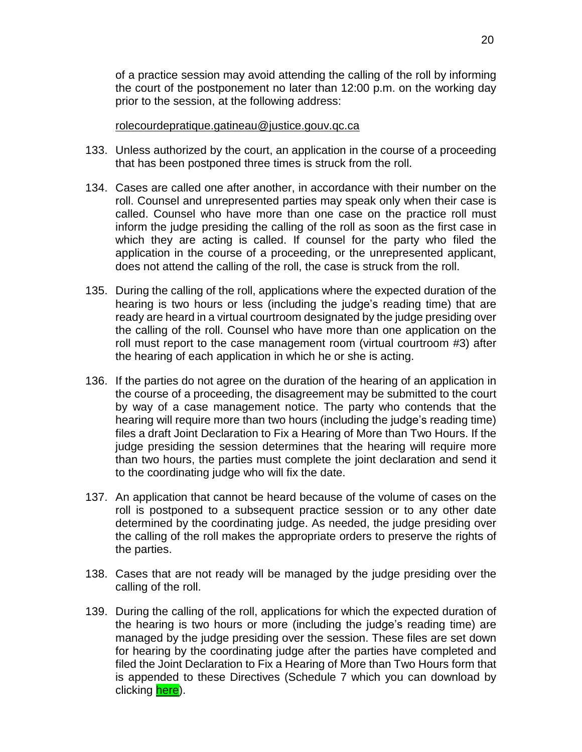of a practice session may avoid attending the calling of the roll by informing the court of the postponement no later than 12:00 p.m. on the working day prior to the session, at the following address:

#### [rolecourdepratique.gatineau@justice.gouv.qc.ca](mailto:rolecourdepratique.gatineau@justice.gouv.qc.ca)

- 133. Unless authorized by the court, an application in the course of a proceeding that has been postponed three times is struck from the roll.
- 134. Cases are called one after another, in accordance with their number on the roll. Counsel and unrepresented parties may speak only when their case is called. Counsel who have more than one case on the practice roll must inform the judge presiding the calling of the roll as soon as the first case in which they are acting is called. If counsel for the party who filed the application in the course of a proceeding, or the unrepresented applicant, does not attend the calling of the roll, the case is struck from the roll.
- 135. During the calling of the roll, applications where the expected duration of the hearing is two hours or less (including the judge's reading time) that are ready are heard in a virtual courtroom designated by the judge presiding over the calling of the roll. Counsel who have more than one application on the roll must report to the case management room (virtual courtroom #3) after the hearing of each application in which he or she is acting.
- 136. If the parties do not agree on the duration of the hearing of an application in the course of a proceeding, the disagreement may be submitted to the court by way of a case management notice. The party who contends that the hearing will require more than two hours (including the judge's reading time) files a draft Joint Declaration to Fix a Hearing of More than Two Hours. If the judge presiding the session determines that the hearing will require more than two hours, the parties must complete the joint declaration and send it to the coordinating judge who will fix the date.
- 137. An application that cannot be heard because of the volume of cases on the roll is postponed to a subsequent practice session or to any other date determined by the coordinating judge. As needed, the judge presiding over the calling of the roll makes the appropriate orders to preserve the rights of the parties.
- 138. Cases that are not ready will be managed by the judge presiding over the calling of the roll.
- 139. During the calling of the roll, applications for which the expected duration of the hearing is two hours or more (including the judge's reading time) are managed by the judge presiding over the session. These files are set down for hearing by the coordinating judge after the parties have completed and filed the Joint Declaration to Fix a Hearing of More than Two Hours form that is appended to these Directives (Schedule 7 which you can download by clicking [here\)](https://coursuperieureduquebec.ca/fileadmin/cour-superieure/Districts_judiciaires/Gatineau/Annexes/version_anglaise/DIRECTIVES_-_SCHEDULE_7.docx).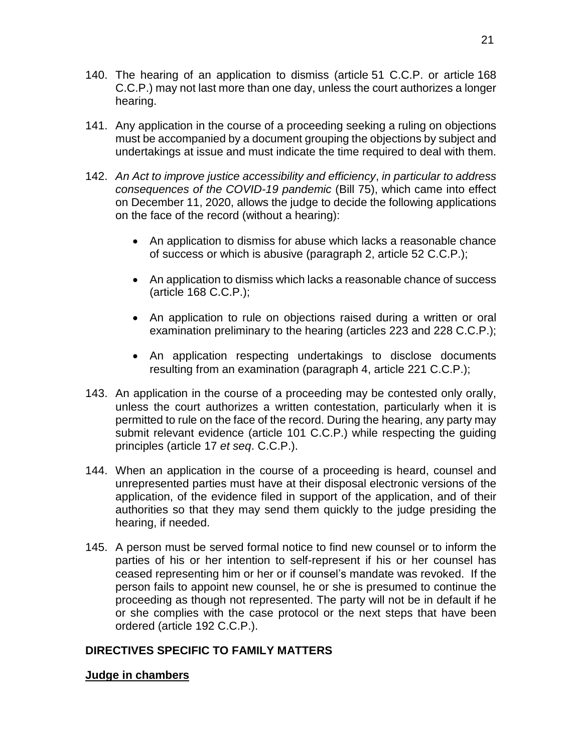- 140. The hearing of an application to dismiss (article 51 C.C.P. or article 168 C.C.P.) may not last more than one day, unless the court authorizes a longer hearing.
- 141. Any application in the course of a proceeding seeking a ruling on objections must be accompanied by a document grouping the objections by subject and undertakings at issue and must indicate the time required to deal with them.
- 142. *An Act to improve justice accessibility and efficiency*, *in particular to address consequences of the COVID-19 pandemic* (Bill 75), which came into effect on December 11, 2020, allows the judge to decide the following applications on the face of the record (without a hearing):
	- An application to dismiss for abuse which lacks a reasonable chance of success or which is abusive (paragraph 2, article 52 C.C.P.);
	- An application to dismiss which lacks a reasonable chance of success (article 168 C.C.P.);
	- An application to rule on objections raised during a written or oral examination preliminary to the hearing (articles 223 and 228 C.C.P.);
	- An application respecting undertakings to disclose documents resulting from an examination (paragraph 4, article 221 C.C.P.);
- 143. An application in the course of a proceeding may be contested only orally, unless the court authorizes a written contestation, particularly when it is permitted to rule on the face of the record. During the hearing, any party may submit relevant evidence (article 101 C.C.P.) while respecting the guiding principles (article 17 *et seq*. C.C.P.).
- 144. When an application in the course of a proceeding is heard, counsel and unrepresented parties must have at their disposal electronic versions of the application, of the evidence filed in support of the application, and of their authorities so that they may send them quickly to the judge presiding the hearing, if needed.
- 145. A person must be served formal notice to find new counsel or to inform the parties of his or her intention to self-represent if his or her counsel has ceased representing him or her or if counsel's mandate was revoked. If the person fails to appoint new counsel, he or she is presumed to continue the proceeding as though not represented. The party will not be in default if he or she complies with the case protocol or the next steps that have been ordered (article 192 C.C.P.).

# <span id="page-20-0"></span>**DIRECTIVES SPECIFIC TO FAMILY MATTERS**

# <span id="page-20-1"></span>**Judge in chambers**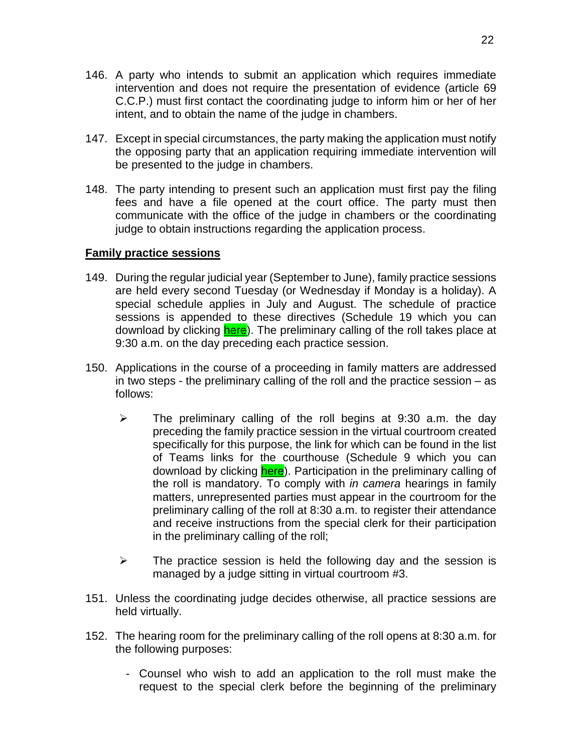- 146. A party who intends to submit an application which requires immediate intervention and does not require the presentation of evidence (article 69 C.C.P.) must first contact the coordinating judge to inform him or her of her intent, and to obtain the name of the judge in chambers.
- 147. Except in special circumstances, the party making the application must notify the opposing party that an application requiring immediate intervention will be presented to the judge in chambers.
- 148. The party intending to present such an application must first pay the filing fees and have a file opened at the court office. The party must then communicate with the office of the judge in chambers or the coordinating judge to obtain instructions regarding the application process.

#### <span id="page-21-0"></span>**Family practice sessions**

- 149. During the regular judicial year (September to June), family practice sessions are held every second Tuesday (or Wednesday if Monday is a holiday). A special schedule applies in July and August. The schedule of practice sessions is appended to these directives (Schedule 19 which you can download by clicking [here\)](https://coursuperieureduquebec.ca/fileadmin/cour-superieure/Districts_judiciaires/Gatineau/Annexes/version_anglaise/DIRECTIVES_-_SCHEDULE_19.docx). The preliminary calling of the roll takes place at 9:30 a.m. on the day preceding each practice session.
- 150. Applications in the course of a proceeding in family matters are addressed in two steps - the preliminary calling of the roll and the practice session – as follows:
	- $\triangleright$  The preliminary calling of the roll begins at 9:30 a.m. the day preceding the family practice session in the virtual courtroom created specifically for this purpose, the link for which can be found in the list of Teams links for the courthouse (Schedule 9 which you can download by clicking [here\)](https://coursuperieureduquebec.ca/fileadmin/cour-superieure/Districts_judiciaires/Gatineau/Annexes/version_anglaise/DIRECTIVES_-_SCHEDULE_9.pdf). Participation in the preliminary calling of the roll is mandatory. To comply with *in camera* hearings in family matters, unrepresented parties must appear in the courtroom for the preliminary calling of the roll at 8:30 a.m. to register their attendance and receive instructions from the special clerk for their participation in the preliminary calling of the roll;
	- $\triangleright$  The practice session is held the following day and the session is managed by a judge sitting in virtual courtroom #3.
- 151. Unless the coordinating judge decides otherwise, all practice sessions are held virtually.
- 152. The hearing room for the preliminary calling of the roll opens at 8:30 a.m. for the following purposes:
	- Counsel who wish to add an application to the roll must make the request to the special clerk before the beginning of the preliminary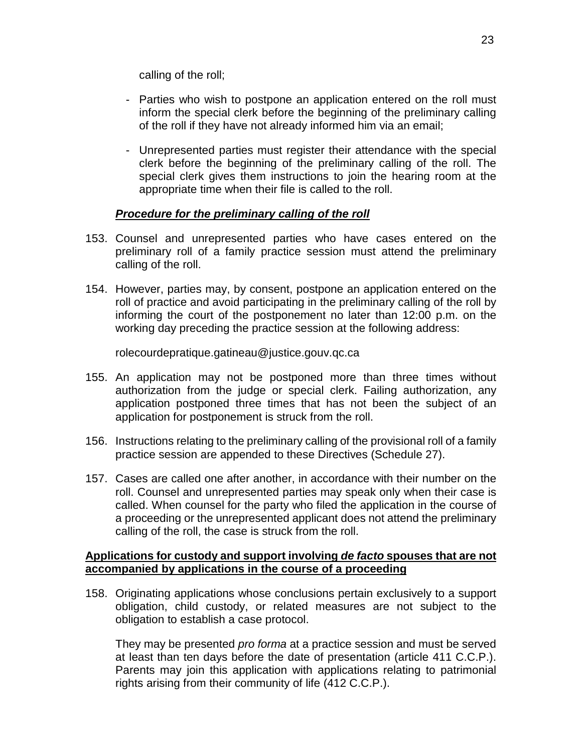calling of the roll;

- Parties who wish to postpone an application entered on the roll must inform the special clerk before the beginning of the preliminary calling of the roll if they have not already informed him via an email;
- Unrepresented parties must register their attendance with the special clerk before the beginning of the preliminary calling of the roll. The special clerk gives them instructions to join the hearing room at the appropriate time when their file is called to the roll.

# *Procedure for the preliminary calling of the roll*

- <span id="page-22-0"></span>153. Counsel and unrepresented parties who have cases entered on the preliminary roll of a family practice session must attend the preliminary calling of the roll.
- 154. However, parties may, by consent, postpone an application entered on the roll of practice and avoid participating in the preliminary calling of the roll by informing the court of the postponement no later than 12:00 p.m. on the working day preceding the practice session at the following address:

rolecourdepratique.gatineau@justice.gouv.qc.ca

- 155. An application may not be postponed more than three times without authorization from the judge or special clerk. Failing authorization, any application postponed three times that has not been the subject of an application for postponement is struck from the roll.
- 156. Instructions relating to the preliminary calling of the provisional roll of a family practice session are appended to these Directives (Schedule 27).
- 157. Cases are called one after another, in accordance with their number on the roll. Counsel and unrepresented parties may speak only when their case is called. When counsel for the party who filed the application in the course of a proceeding or the unrepresented applicant does not attend the preliminary calling of the roll, the case is struck from the roll.

#### **Applications for custody and support involving** *de facto* **spouses that are not accompanied by applications in the course of a proceeding**

158. Originating applications whose conclusions pertain exclusively to a support obligation, child custody, or related measures are not subject to the obligation to establish a case protocol.

They may be presented *pro forma* at a practice session and must be served at least than ten days before the date of presentation (article 411 C.C.P.). Parents may join this application with applications relating to patrimonial rights arising from their community of life (412 C.C.P.).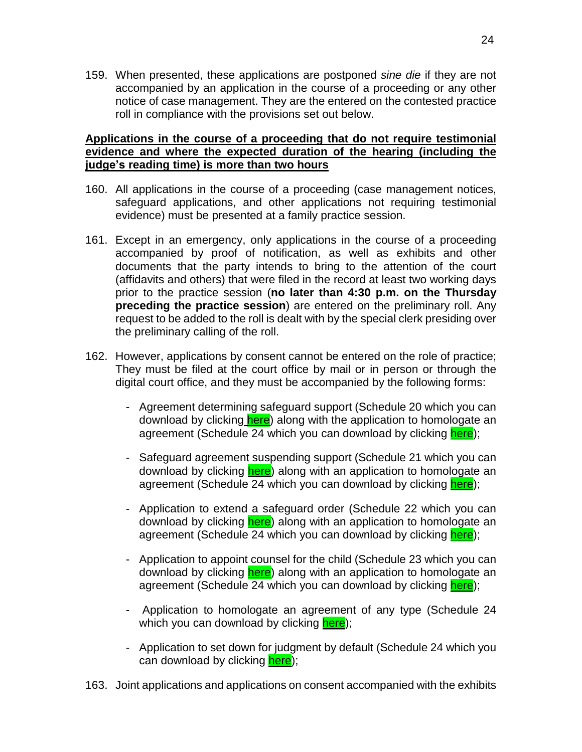159. When presented, these applications are postponed *sine die* if they are not accompanied by an application in the course of a proceeding or any other notice of case management. They are the entered on the contested practice roll in compliance with the provisions set out below.

#### <span id="page-23-0"></span>**Applications in the course of a proceeding that do not require testimonial evidence and where the expected duration of the hearing (including the judge's reading time) is more than two hours**

- 160. All applications in the course of a proceeding (case management notices, safeguard applications, and other applications not requiring testimonial evidence) must be presented at a family practice session.
- 161. Except in an emergency, only applications in the course of a proceeding accompanied by proof of notification, as well as exhibits and other documents that the party intends to bring to the attention of the court (affidavits and others) that were filed in the record at least two working days prior to the practice session (**no later than 4:30 p.m. on the Thursday preceding the practice session**) are entered on the preliminary roll. Any request to be added to the roll is dealt with by the special clerk presiding over the preliminary calling of the roll.
- 162. However, applications by consent cannot be entered on the role of practice; They must be filed at the court office by mail or in person or through the digital court office, and they must be accompanied by the following forms:
	- Agreement determining safeguard support (Schedule 20 which you can download by clicking [here\)](https://coursuperieureduquebec.ca/fileadmin/cour-superieure/Districts_judiciaires/Gatineau/Annexes/version_anglaise/DIRECTIVES_-_SCHEDULE_20.docx) along with the application to homologate an agreement (Schedule 24 which you can download by clicking [here\)](https://coursuperieureduquebec.ca/fileadmin/cour-superieure/Districts_judiciaires/Gatineau/Annexes/version_anglaise/DIRECTIVES_-_SCHEDULE_24.docx);
	- Safeguard agreement suspending support (Schedule 21 which you can download by clicking [here\)](https://coursuperieureduquebec.ca/fileadmin/cour-superieure/Districts_judiciaires/Gatineau/Annexes/version_anglaise/DIRECTIVES_-_SCHEDULE_21.docx) along with an application to homologate an agreement (Schedule 24 which you can download by clicking [here\)](https://coursuperieureduquebec.ca/fileadmin/cour-superieure/Districts_judiciaires/Gatineau/Annexes/version_anglaise/DIRECTIVES_-_SCHEDULE_24.docx);
	- Application to extend a safeguard order (Schedule 22 which you can download by clicking [here\)](https://coursuperieureduquebec.ca/fileadmin/cour-superieure/Districts_judiciaires/Gatineau/Annexes/version_anglaise/DIRECTIVES_-_SCHEDULE_22.docx) along with an application to homologate an agreement (Schedule 24 which you can download by clicking [here\)](https://coursuperieureduquebec.ca/fileadmin/cour-superieure/Districts_judiciaires/Gatineau/Annexes/version_anglaise/DIRECTIVES_-_SCHEDULE_24.docx);
	- Application to appoint counsel for the child (Schedule 23 which you can download by clicking **here**) along with an application to homologate an agreement (Schedule 24 which you can download by clicking [here\)](https://coursuperieureduquebec.ca/fileadmin/cour-superieure/Districts_judiciaires/Gatineau/Annexes/version_anglaise/DIRECTIVES_-_SCHEDULE_24.docx);
	- Application to homologate an agreement of any type (Schedule 24 which you can download by clicking [here\)](https://coursuperieureduquebec.ca/fileadmin/cour-superieure/Districts_judiciaires/Gatineau/Annexes/version_anglaise/DIRECTIVES_-_SCHEDULE_24.docx);
	- Application to set down for judgment by default (Schedule 24 which you can download by clicking [here\)](https://coursuperieureduquebec.ca/fileadmin/cour-superieure/Districts_judiciaires/Gatineau/Annexes/version_anglaise/DIRECTIVES_-_SCHEDULE_24.docx);
- 163. Joint applications and applications on consent accompanied with the exhibits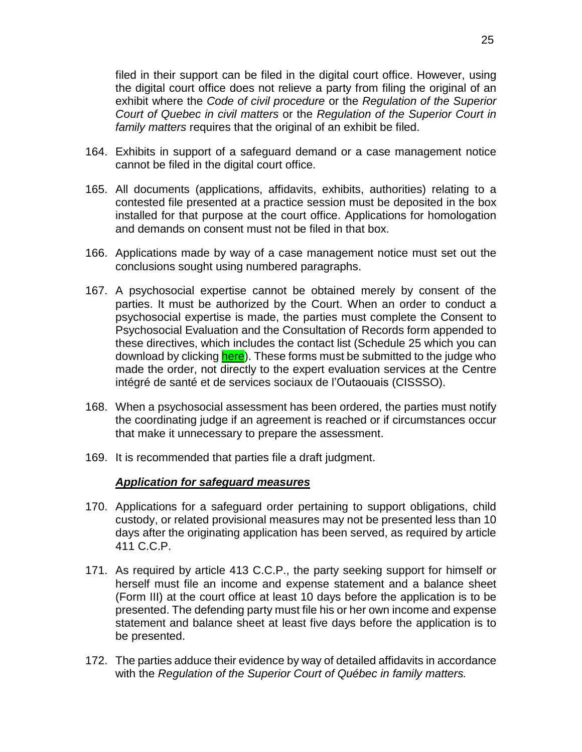filed in their support can be filed in the digital court office. However, using the digital court office does not relieve a party from filing the original of an exhibit where the *Code of civil procedure* or the *Regulation of the Superior Court of Quebec in civil matters* or the *Regulation of the Superior Court in family matters* requires that the original of an exhibit be filed.

- 164. Exhibits in support of a safeguard demand or a case management notice cannot be filed in the digital court office.
- 165. All documents (applications, affidavits, exhibits, authorities) relating to a contested file presented at a practice session must be deposited in the box installed for that purpose at the court office. Applications for homologation and demands on consent must not be filed in that box.
- 166. Applications made by way of a case management notice must set out the conclusions sought using numbered paragraphs.
- 167. A psychosocial expertise cannot be obtained merely by consent of the parties. It must be authorized by the Court. When an order to conduct a psychosocial expertise is made, the parties must complete the Consent to Psychosocial Evaluation and the Consultation of Records form appended to these directives, which includes the contact list (Schedule 25 which you can download by clicking [here\)](https://coursuperieureduquebec.ca/fileadmin/cour-superieure/Districts_judiciaires/Gatineau/Annexes/version_anglaise/DIRECTIVES_-_SCHEDULE_25.docx). These forms must be submitted to the judge who made the order, not directly to the expert evaluation services at the Centre intégré de santé et de services sociaux de l'Outaouais (CISSSO).
- 168. When a psychosocial assessment has been ordered, the parties must notify the coordinating judge if an agreement is reached or if circumstances occur that make it unnecessary to prepare the assessment.
- 169. It is recommended that parties file a draft judgment.

#### *Application for safeguard measures*

- 170. Applications for a safeguard order pertaining to support obligations, child custody, or related provisional measures may not be presented less than 10 days after the originating application has been served, as required by article 411 C.C.P.
- 171. As required by article 413 C.C.P., the party seeking support for himself or herself must file an income and expense statement and a balance sheet (Form III) at the court office at least 10 days before the application is to be presented. The defending party must file his or her own income and expense statement and balance sheet at least five days before the application is to be presented.
- 172. The parties adduce their evidence by way of detailed affidavits in accordance with the *Regulation of the Superior Court of Québec in family matters.*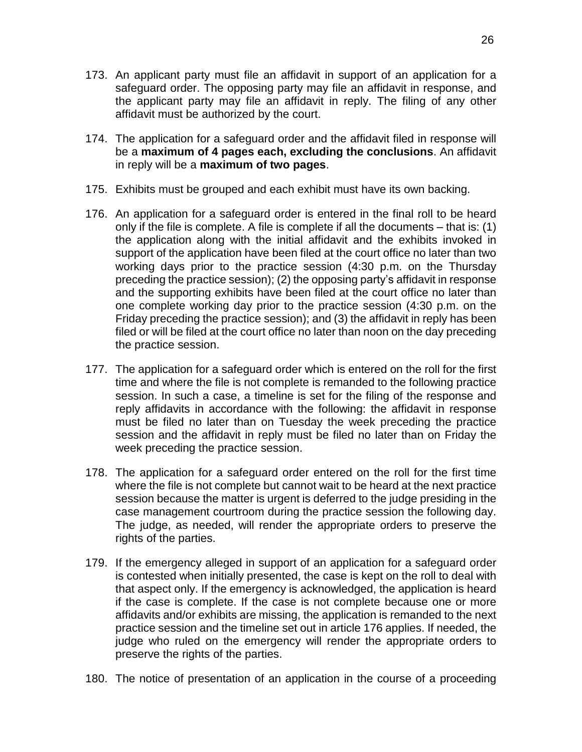- 173. An applicant party must file an affidavit in support of an application for a safeguard order. The opposing party may file an affidavit in response, and the applicant party may file an affidavit in reply. The filing of any other affidavit must be authorized by the court.
- 174. The application for a safeguard order and the affidavit filed in response will be a **maximum of 4 pages each, excluding the conclusions**. An affidavit in reply will be a **maximum of two pages**.
- 175. Exhibits must be grouped and each exhibit must have its own backing.
- 176. An application for a safeguard order is entered in the final roll to be heard only if the file is complete. A file is complete if all the documents – that is: (1) the application along with the initial affidavit and the exhibits invoked in support of the application have been filed at the court office no later than two working days prior to the practice session (4:30 p.m. on the Thursday preceding the practice session); (2) the opposing party's affidavit in response and the supporting exhibits have been filed at the court office no later than one complete working day prior to the practice session (4:30 p.m. on the Friday preceding the practice session); and (3) the affidavit in reply has been filed or will be filed at the court office no later than noon on the day preceding the practice session.
- 177. The application for a safeguard order which is entered on the roll for the first time and where the file is not complete is remanded to the following practice session. In such a case, a timeline is set for the filing of the response and reply affidavits in accordance with the following: the affidavit in response must be filed no later than on Tuesday the week preceding the practice session and the affidavit in reply must be filed no later than on Friday the week preceding the practice session.
- 178. The application for a safeguard order entered on the roll for the first time where the file is not complete but cannot wait to be heard at the next practice session because the matter is urgent is deferred to the judge presiding in the case management courtroom during the practice session the following day. The judge, as needed, will render the appropriate orders to preserve the rights of the parties.
- 179. If the emergency alleged in support of an application for a safeguard order is contested when initially presented, the case is kept on the roll to deal with that aspect only. If the emergency is acknowledged, the application is heard if the case is complete. If the case is not complete because one or more affidavits and/or exhibits are missing, the application is remanded to the next practice session and the timeline set out in article 176 applies. If needed, the judge who ruled on the emergency will render the appropriate orders to preserve the rights of the parties.
- 180. The notice of presentation of an application in the course of a proceeding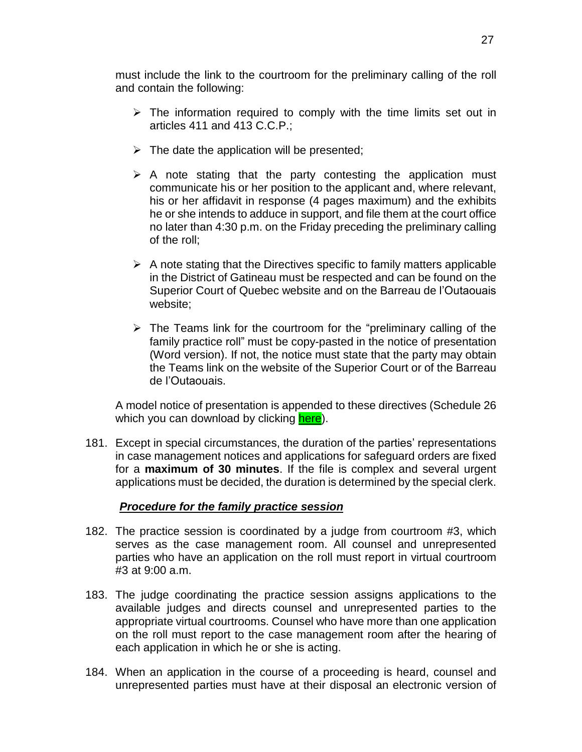must include the link to the courtroom for the preliminary calling of the roll and contain the following:

- $\triangleright$  The information required to comply with the time limits set out in articles 411 and 413 C.C.P.;
- $\triangleright$  The date the application will be presented;
- $\triangleright$  A note stating that the party contesting the application must communicate his or her position to the applicant and, where relevant, his or her affidavit in response (4 pages maximum) and the exhibits he or she intends to adduce in support, and file them at the court office no later than 4:30 p.m. on the Friday preceding the preliminary calling of the roll;
- $\triangleright$  A note stating that the Directives specific to family matters applicable in the District of Gatineau must be respected and can be found on the Superior Court of Quebec website and on the Barreau de l'Outaouais website;
- $\triangleright$  The Teams link for the courtroom for the "preliminary calling of the family practice roll" must be copy-pasted in the notice of presentation (Word version). If not, the notice must state that the party may obtain the Teams link on the website of the Superior Court or of the Barreau de l'Outaouais.

A model notice of presentation is appended to these directives (Schedule 26 which you can download by clicking [here\)](https://coursuperieureduquebec.ca/fileadmin/cour-superieure/Districts_judiciaires/Gatineau/Annexes/version_anglaise/DIRECTIVES_-_SCHEDULE_26.docx).

181. Except in special circumstances, the duration of the parties' representations in case management notices and applications for safeguard orders are fixed for a **maximum of 30 minutes**. If the file is complex and several urgent applications must be decided, the duration is determined by the special clerk.

# *Procedure for the family practice session*

- <span id="page-26-0"></span>182. The practice session is coordinated by a judge from courtroom #3, which serves as the case management room. All counsel and unrepresented parties who have an application on the roll must report in virtual courtroom #3 at 9:00 a.m.
- 183. The judge coordinating the practice session assigns applications to the available judges and directs counsel and unrepresented parties to the appropriate virtual courtrooms. Counsel who have more than one application on the roll must report to the case management room after the hearing of each application in which he or she is acting.
- 184. When an application in the course of a proceeding is heard, counsel and unrepresented parties must have at their disposal an electronic version of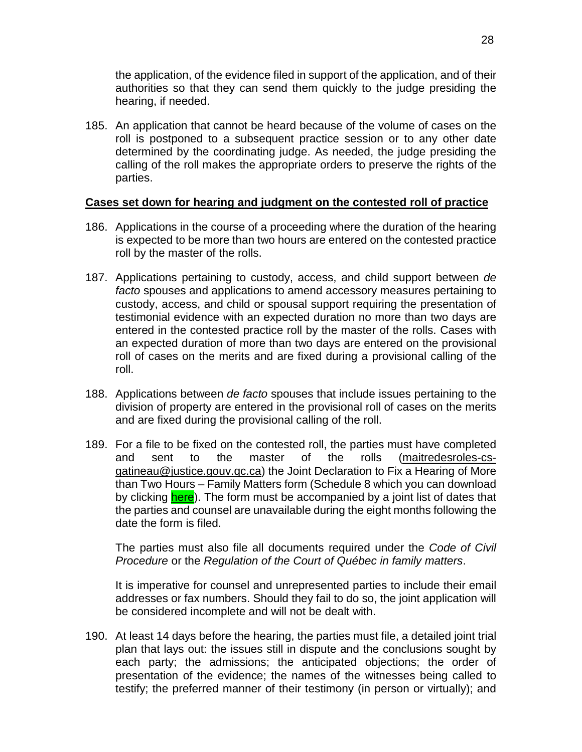the application, of the evidence filed in support of the application, and of their authorities so that they can send them quickly to the judge presiding the hearing, if needed.

185. An application that cannot be heard because of the volume of cases on the roll is postponed to a subsequent practice session or to any other date determined by the coordinating judge. As needed, the judge presiding the calling of the roll makes the appropriate orders to preserve the rights of the parties.

# <span id="page-27-0"></span>**Cases set down for hearing and judgment on the contested roll of practice**

- 186. Applications in the course of a proceeding where the duration of the hearing is expected to be more than two hours are entered on the contested practice roll by the master of the rolls.
- 187. Applications pertaining to custody, access, and child support between *de facto* spouses and applications to amend accessory measures pertaining to custody, access, and child or spousal support requiring the presentation of testimonial evidence with an expected duration no more than two days are entered in the contested practice roll by the master of the rolls. Cases with an expected duration of more than two days are entered on the provisional roll of cases on the merits and are fixed during a provisional calling of the roll.
- 188. Applications between *de facto* spouses that include issues pertaining to the division of property are entered in the provisional roll of cases on the merits and are fixed during the provisional calling of the roll.
- 189. For a file to be fixed on the contested roll, the parties must have completed and sent to the master of the rolls [\(maitredesroles-cs](mailto:maitredesroles-cs-gatineau@justice.gouv.qc.ca)[gatineau@justice.gouv.qc.ca\)](mailto:maitredesroles-cs-gatineau@justice.gouv.qc.ca) the Joint Declaration to Fix a Hearing of More than Two Hours – Family Matters form (Schedule 8 which you can download by clicking [here\)](https://coursuperieureduquebec.ca/fileadmin/cour-superieure/Districts_judiciaires/Gatineau/Annexes/version_anglaise/DIRECTIVES_-_SCHEDULE_8.docx). The form must be accompanied by a joint list of dates that the parties and counsel are unavailable during the eight months following the date the form is filed.

The parties must also file all documents required under the *Code of Civil Procedure* or the *Regulation of the Court of Québec in family matters*.

It is imperative for counsel and unrepresented parties to include their email addresses or fax numbers. Should they fail to do so, the joint application will be considered incomplete and will not be dealt with.

190. At least 14 days before the hearing, the parties must file, a detailed joint trial plan that lays out: the issues still in dispute and the conclusions sought by each party; the admissions; the anticipated objections; the order of presentation of the evidence; the names of the witnesses being called to testify; the preferred manner of their testimony (in person or virtually); and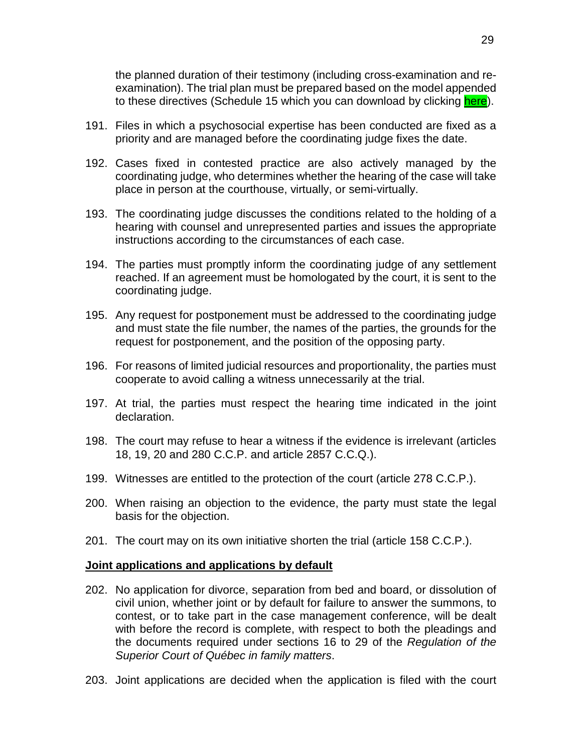the planned duration of their testimony (including cross-examination and reexamination). The trial plan must be prepared based on the model appended to these directives (Schedule 15 which you can download by clicking [here\)](https://coursuperieureduquebec.ca/fileadmin/cour-superieure/Districts_judiciaires/Gatineau/Annexes/version_anglaise/DIRECTIVES_-_SCHEDULE_15.docx).

- 191. Files in which a psychosocial expertise has been conducted are fixed as a priority and are managed before the coordinating judge fixes the date.
- 192. Cases fixed in contested practice are also actively managed by the coordinating judge, who determines whether the hearing of the case will take place in person at the courthouse, virtually, or semi-virtually.
- 193. The coordinating judge discusses the conditions related to the holding of a hearing with counsel and unrepresented parties and issues the appropriate instructions according to the circumstances of each case.
- 194. The parties must promptly inform the coordinating judge of any settlement reached. If an agreement must be homologated by the court, it is sent to the coordinating judge.
- 195. Any request for postponement must be addressed to the coordinating judge and must state the file number, the names of the parties, the grounds for the request for postponement, and the position of the opposing party.
- 196. For reasons of limited judicial resources and proportionality, the parties must cooperate to avoid calling a witness unnecessarily at the trial.
- 197. At trial, the parties must respect the hearing time indicated in the joint declaration.
- 198. The court may refuse to hear a witness if the evidence is irrelevant (articles 18, 19, 20 and 280 C.C.P. and article 2857 C.C.Q.).
- 199. Witnesses are entitled to the protection of the court (article 278 C.C.P.).
- 200. When raising an objection to the evidence, the party must state the legal basis for the objection.
- 201. The court may on its own initiative shorten the trial (article 158 C.C.P.).

#### <span id="page-28-0"></span>**Joint applications and applications by default**

- 202. No application for divorce, separation from bed and board, or dissolution of civil union, whether joint or by default for failure to answer the summons, to contest, or to take part in the case management conference, will be dealt with before the record is complete, with respect to both the pleadings and the documents required under sections 16 to 29 of the *Regulation of the Superior Court of Québec in family matters*.
- 203. Joint applications are decided when the application is filed with the court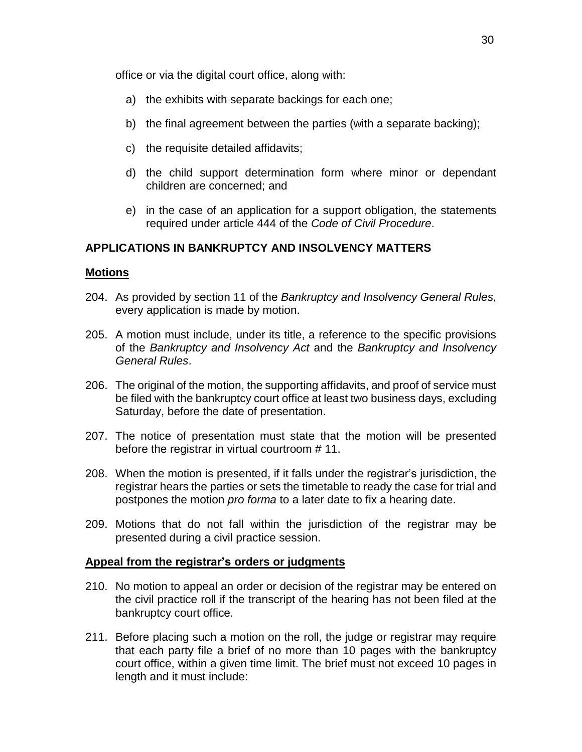office or via the digital court office, along with:

- a) the exhibits with separate backings for each one;
- b) the final agreement between the parties (with a separate backing);
- c) the requisite detailed affidavits;
- d) the child support determination form where minor or dependant children are concerned; and
- e) in the case of an application for a support obligation, the statements required under article 444 of the *Code of Civil Procedure*.

#### <span id="page-29-0"></span>**APPLICATIONS IN BANKRUPTCY AND INSOLVENCY MATTERS**

#### <span id="page-29-1"></span>**Motions**

- 204. As provided by section 11 of the *Bankruptcy and Insolvency General Rules*, every application is made by motion.
- 205. A motion must include, under its title, a reference to the specific provisions of the *Bankruptcy and Insolvency Act* and the *Bankruptcy and Insolvency General Rules*.
- 206. The original of the motion, the supporting affidavits, and proof of service must be filed with the bankruptcy court office at least two business days, excluding Saturday, before the date of presentation.
- 207. The notice of presentation must state that the motion will be presented before the registrar in virtual courtroom # 11.
- 208. When the motion is presented, if it falls under the registrar's jurisdiction, the registrar hears the parties or sets the timetable to ready the case for trial and postpones the motion *pro forma* to a later date to fix a hearing date.
- 209. Motions that do not fall within the jurisdiction of the registrar may be presented during a civil practice session.

#### <span id="page-29-2"></span>**Appeal from the registrar's orders or judgments**

- 210. No motion to appeal an order or decision of the registrar may be entered on the civil practice roll if the transcript of the hearing has not been filed at the bankruptcy court office.
- 211. Before placing such a motion on the roll, the judge or registrar may require that each party file a brief of no more than 10 pages with the bankruptcy court office, within a given time limit. The brief must not exceed 10 pages in length and it must include: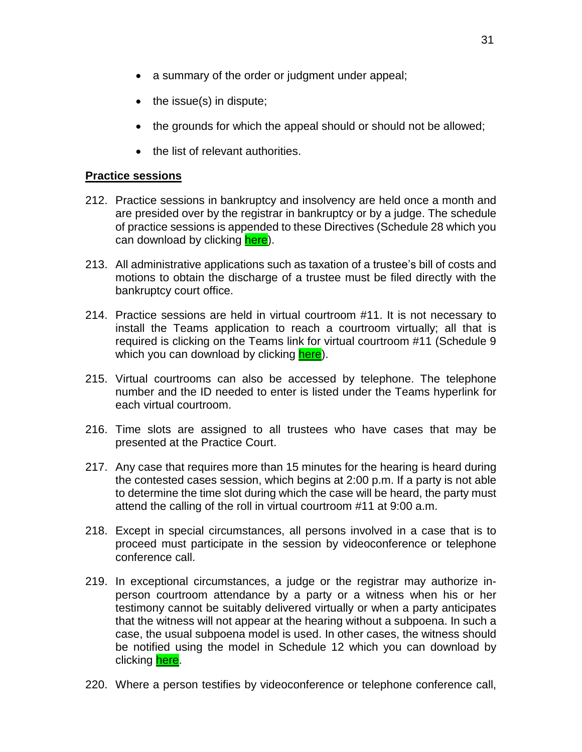- $\bullet$  the issue(s) in dispute;
- the grounds for which the appeal should or should not be allowed;
- the list of relevant authorities.

# <span id="page-30-0"></span>**Practice sessions**

- 212. Practice sessions in bankruptcy and insolvency are held once a month and are presided over by the registrar in bankruptcy or by a judge. The schedule of practice sessions is appended to these Directives (Schedule 28 which you can download by clicking [here\)](https://coursuperieureduquebec.ca/fileadmin/cour-superieure/Districts_judiciaires/Gatineau/Annexes/version_anglaise/DIRECTIVES_-_SCHEDULE_28.docx).
- 213. All administrative applications such as taxation of a trustee's bill of costs and motions to obtain the discharge of a trustee must be filed directly with the bankruptcy court office.
- 214. Practice sessions are held in virtual courtroom #11. It is not necessary to install the Teams application to reach a courtroom virtually; all that is required is clicking on the Teams link for virtual courtroom #11 (Schedule 9 which you can download by clicking [here\)](https://coursuperieureduquebec.ca/fileadmin/cour-superieure/Districts_judiciaires/Gatineau/Annexes/version_anglaise/DIRECTIVES_-_SCHEDULE_9.pdf).
- 215. Virtual courtrooms can also be accessed by telephone. The telephone number and the ID needed to enter is listed under the Teams hyperlink for each virtual courtroom.
- 216. Time slots are assigned to all trustees who have cases that may be presented at the Practice Court.
- 217. Any case that requires more than 15 minutes for the hearing is heard during the contested cases session, which begins at 2:00 p.m. If a party is not able to determine the time slot during which the case will be heard, the party must attend the calling of the roll in virtual courtroom #11 at 9:00 a.m.
- 218. Except in special circumstances, all persons involved in a case that is to proceed must participate in the session by videoconference or telephone conference call.
- 219. In exceptional circumstances, a judge or the registrar may authorize inperson courtroom attendance by a party or a witness when his or her testimony cannot be suitably delivered virtually or when a party anticipates that the witness will not appear at the hearing without a subpoena. In such a case, the usual subpoena model is used. In other cases, the witness should be notified using the model in Schedule 12 which you can download by clicking [here.](https://coursuperieureduquebec.ca/fileadmin/cour-superieure/Districts_judiciaires/Gatineau/Annexes/version_anglaise/DIRECTIVES_-_SCHEDULE_12.docx)
- 220. Where a person testifies by videoconference or telephone conference call,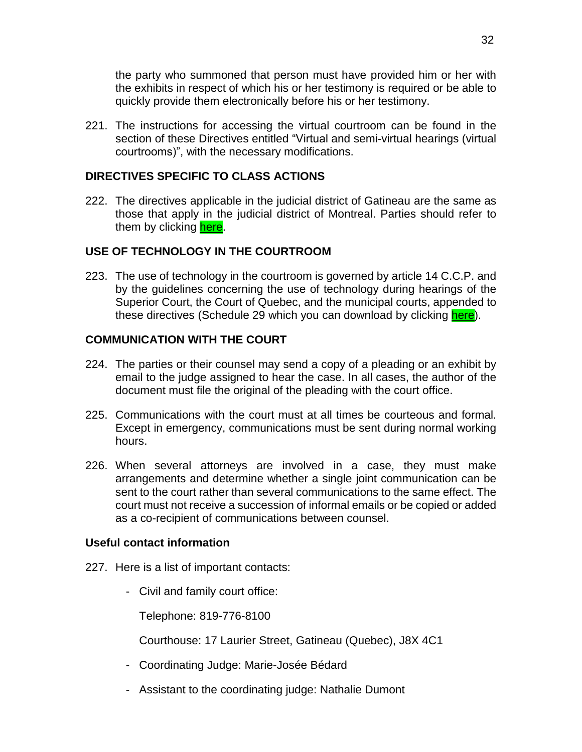the party who summoned that person must have provided him or her with the exhibits in respect of which his or her testimony is required or be able to quickly provide them electronically before his or her testimony.

221. The instructions for accessing the virtual courtroom can be found in the section of these Directives entitled "Virtual and semi-virtual hearings (virtual courtrooms)", with the necessary modifications.

# <span id="page-31-0"></span>**DIRECTIVES SPECIFIC TO CLASS ACTIONS**

222. The directives applicable in the judicial district of Gatineau are the same as those that apply in the judicial district of Montreal. Parties should refer to them by clicking [here.](https://coursuperieureduquebec.ca/en/montreal-division/judicial-districts/gatineau#accordion-378-421)

# <span id="page-31-1"></span>**USE OF TECHNOLOGY IN THE COURTROOM**

223. The use of technology in the courtroom is governed by article 14 C.C.P. and by the guidelines concerning the use of technology during hearings of the Superior Court, the Court of Quebec, and the municipal courts, appended to these directives (Schedule 29 which you can download by clicking [here\)](https://coursuperieureduquebec.ca/fileadmin/cour-superieure/Districts_judiciaires/Gatineau/Annexes/version_anglaise/DIRECTIVES_-_SCHEDULE_29.pdf).

# <span id="page-31-2"></span>**COMMUNICATION WITH THE COURT**

- 224. The parties or their counsel may send a copy of a pleading or an exhibit by email to the judge assigned to hear the case. In all cases, the author of the document must file the original of the pleading with the court office.
- 225. Communications with the court must at all times be courteous and formal. Except in emergency, communications must be sent during normal working hours.
- 226. When several attorneys are involved in a case, they must make arrangements and determine whether a single joint communication can be sent to the court rather than several communications to the same effect. The court must not receive a succession of informal emails or be copied or added as a co-recipient of communications between counsel.

# <span id="page-31-3"></span>**Useful contact information**

- 227. Here is a list of important contacts:
	- Civil and family court office:

Telephone: 819-776-8100

Courthouse: 17 Laurier Street, Gatineau (Quebec), J8X 4C1

- Coordinating Judge: Marie-Josée Bédard
- Assistant to the coordinating judge: Nathalie Dumont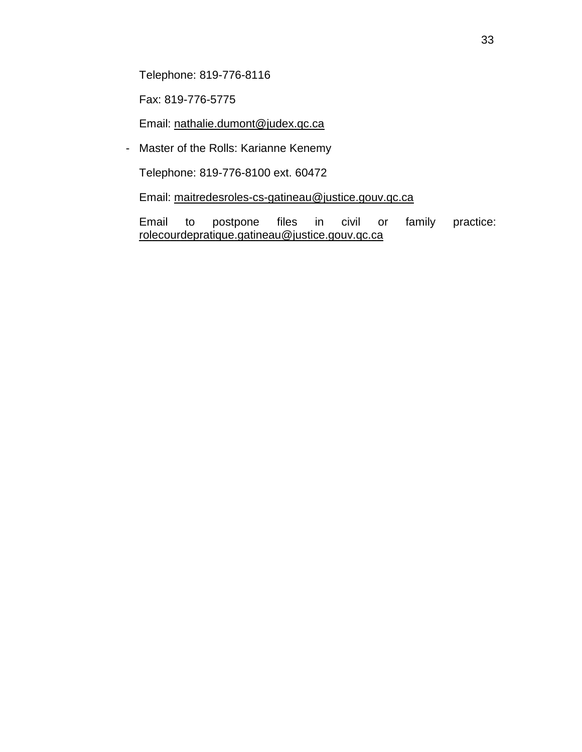Telephone: 819-776-8116

Fax: 819-776-5775

Email: [nathalie.dumont@judex.qc.ca](mailto:nathalie.dumont@judex.qc.ca)

- Master of the Rolls: Karianne Kenemy

Telephone: 819-776-8100 ext. 60472

Email: [maitredesroles-cs-gatineau@justice.gouv.qc.ca](mailto:maitredesroles-cs-gatineau@justice.gouv.qc.ca)

Email to postpone files in civil or family practice: [rolecourdepratique.gatineau@justice.gouv.qc.ca](mailto:rolecourdepratique.gatineau@justice.gouv.qc.ca)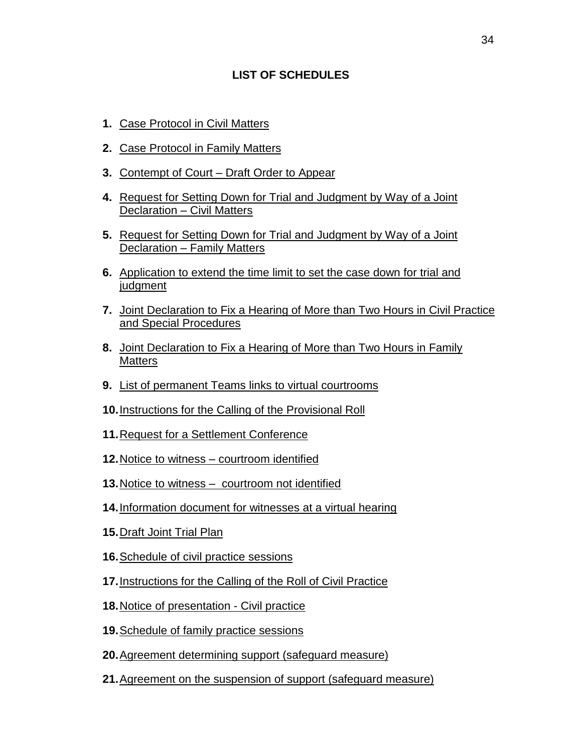# **LIST OF SCHEDULES**

- <span id="page-33-0"></span>**1.** Case [Protocol](https://coursuperieureduquebec.ca/fileadmin/cour-superieure/Districts_judiciaires/Gatineau/Annexes/version_anglaise/DIRECTIVES_-_SCHEDULE_1.docx) in Civil Matters
- **2.** Case [Protocol](https://coursuperieureduquebec.ca/fileadmin/cour-superieure/Districts_judiciaires/Gatineau/Annexes/version_anglaise/DIRECTIVES_-_SCHEDULE_2.docx) in Family Matters
- **3.** [Contempt](https://coursuperieureduquebec.ca/fileadmin/cour-superieure/Districts_judiciaires/Gatineau/Annexes/version_anglaise/DIRECTIVES_-_SCHEDULE_3_.docx) of Court Draft Order to Appear
- **4.** Request for Setting Down for Trial and [Judgment](https://coursuperieureduquebec.ca/fileadmin/cour-superieure/Districts_judiciaires/Gatineau/Annexes/version_anglaise/DIRECTIVES_-_SCHEDULE_4.docx) by Way of a Joint [Declaration](https://coursuperieureduquebec.ca/fileadmin/cour-superieure/Districts_judiciaires/Gatineau/Annexes/version_anglaise/DIRECTIVES_-_SCHEDULE_4.docx) – Civil Matters
- **5.** Request for Setting Down for Trial and [Judgment](https://coursuperieureduquebec.ca/fileadmin/cour-superieure/Districts_judiciaires/Gatineau/Annexes/version_anglaise/DIRECTIVES_-_SCHEDULE_5.docx) by Way of a Joint [Declaration](https://coursuperieureduquebec.ca/fileadmin/cour-superieure/Districts_judiciaires/Gatineau/Annexes/version_anglaise/DIRECTIVES_-_SCHEDULE_5.docx) – Family Matters
- **6.** [Application](https://coursuperieureduquebec.ca/fileadmin/cour-superieure/Districts_judiciaires/Gatineau/Annexes/version_anglaise/DIRECTIVES_-_SCHEDULE_6.docx) to extend the time limit to set the case down for trial and [judgment](https://coursuperieureduquebec.ca/fileadmin/cour-superieure/Districts_judiciaires/Gatineau/Annexes/version_anglaise/DIRECTIVES_-_SCHEDULE_6.docx)
- **7.** Joint [Declaration](https://coursuperieureduquebec.ca/fileadmin/cour-superieure/Districts_judiciaires/Gatineau/Annexes/version_anglaise/DIRECTIVES_-_SCHEDULE_7.docx) to Fix a Hearing of More than Two Hours in Civil Practice and Special [Procedures](https://coursuperieureduquebec.ca/fileadmin/cour-superieure/Districts_judiciaires/Gatineau/Annexes/version_anglaise/DIRECTIVES_-_SCHEDULE_7.docx)
- **8.** Joint [Declaration](https://coursuperieureduquebec.ca/fileadmin/cour-superieure/Districts_judiciaires/Gatineau/Annexes/version_anglaise/DIRECTIVES_-_SCHEDULE_8.docx) to Fix a Hearing of More than Two Hours in Family **[Matters](https://coursuperieureduquebec.ca/fileadmin/cour-superieure/Districts_judiciaires/Gatineau/Annexes/version_anglaise/DIRECTIVES_-_SCHEDULE_8.docx)**
- **9.** List of permanent Teams links to virtual [courtrooms](https://coursuperieureduquebec.ca/fileadmin/cour-superieure/Districts_judiciaires/Gatineau/Annexes/version_anglaise/DIRECTIVES_-_SCHEDULE_9.pdf)
- **10.**[Instructions](https://coursuperieureduquebec.ca/fileadmin/cour-superieure/Districts_judiciaires/Gatineau/Annexes/version_anglaise/DIRECTIVES_-_SCHEDULE_10.docx) for the Calling of the Provisional Roll
- **11.**Request for a Settlement [Conference](https://coursuperieureduquebec.ca/fileadmin/cour-superieure/Districts_judiciaires/Gatineau/Annexes/version_anglaise/DIRECTIVES_-_SCHEDULE_11.docx)
- **12.**Notice to witness [courtroom](https://coursuperieureduquebec.ca/fileadmin/cour-superieure/Districts_judiciaires/Gatineau/Annexes/version_anglaise/DIRECTIVES_-_SCHEDULE_12.docx) identified
- **13.**Notice to witness [courtroom](https://coursuperieureduquebec.ca/fileadmin/cour-superieure/Districts_judiciaires/Gatineau/Annexes/version_anglaise/DIRECTIVES_-_SCHEDULE_13.docx) not identified
- **14.**[Information](https://coursuperieureduquebec.ca/fileadmin/cour-superieure/Districts_judiciaires/Gatineau/Annexes/version_anglaise/DIRECTIVES_-_SCHEDULE_14.pdf) document for witnesses at a virtual hearing
- **15.**[Draft](https://coursuperieureduquebec.ca/fileadmin/cour-superieure/Districts_judiciaires/Gatineau/Annexes/version_anglaise/DIRECTIVES_-_SCHEDULE_15.docx) Joint Trial Plan
- **16.**[Schedule](https://coursuperieureduquebec.ca/fileadmin/cour-superieure/Districts_judiciaires/Gatineau/Annexes/version_anglaise/DIRECTIVES_-_SCHEDULE_16.docx) of civil practice sessions
- **17.**[Instructions](https://coursuperieureduquebec.ca/fileadmin/cour-superieure/Districts_judiciaires/Gatineau/Annexes/version_anglaise/DIRECTIVES_-_SCHEDULE_17.docx) for the Calling of the Roll of Civil Practice
- **18.**Notice of [presentation](https://coursuperieureduquebec.ca/fileadmin/cour-superieure/Districts_judiciaires/Gatineau/Annexes/version_anglaise/DIRECTIVES_-_SCHEDULE_18.docx) Civil practice
- **19.**[Schedule](https://coursuperieureduquebec.ca/fileadmin/cour-superieure/Districts_judiciaires/Gatineau/Annexes/version_anglaise/DIRECTIVES_-_SCHEDULE_19.docx) of family practice sessions
- **20.**Agreement [determining](https://coursuperieureduquebec.ca/fileadmin/cour-superieure/Districts_judiciaires/Gatineau/Annexes/version_anglaise/DIRECTIVES_-_SCHEDULE_20.docx) support (safeguard measure)
- **21.**Agreement on the [suspension](https://coursuperieureduquebec.ca/fileadmin/cour-superieure/Districts_judiciaires/Gatineau/Annexes/version_anglaise/DIRECTIVES_-_SCHEDULE_21.docx) of support (safeguard measure)